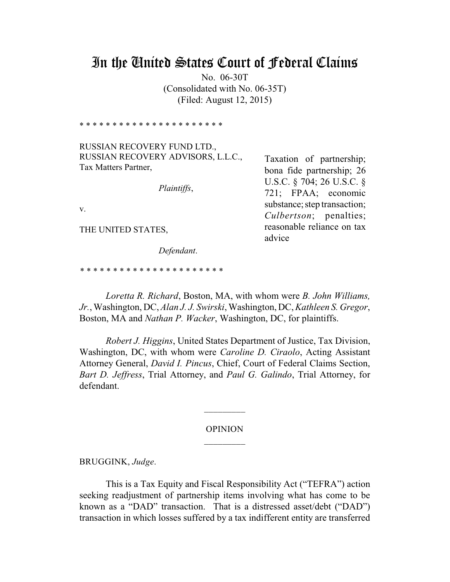# In the United States Court of Federal Claims

No. 06-30T (Consolidated with No. 06-35T) (Filed: August 12, 2015)

\* \* \* \* \* \* \* \* \* \* \* \* \* \* \* \* \* \* \* \* \* \*

RUSSIAN RECOVERY FUND LTD., RUSSIAN RECOVERY ADVISORS, L.L.C., Tax Matters Partner,

*Plaintiffs*,

v.

THE UNITED STATES,

*Defendant*.

*\* \* \* \* \* \* \* \* \* \* \* \* \* \* \* \* \* \* \* \* \* \**

*Loretta R. Richard*, Boston, MA, with whom were *B. John Williams, Jr.*, Washington, DC, *Alan J. J. Swirski*, Washington, DC, *Kathleen S. Gregor*, Boston, MA and *Nathan P. Wacker*, Washington, DC, for plaintiffs.

*Robert J. Higgins*, United States Department of Justice, Tax Division, Washington, DC, with whom were *Caroline D. Ciraolo*, Acting Assistant Attorney General, *David I. Pincus*, Chief, Court of Federal Claims Section, *Bart D. Jeffress*, Trial Attorney, and *Paul G. Galindo*, Trial Attorney, for defendant.

#### OPINION

 $\overline{\phantom{a}}$ 

BRUGGINK, *Judge*.

This is a Tax Equity and Fiscal Responsibility Act ("TEFRA") action seeking readjustment of partnership items involving what has come to be known as a "DAD" transaction. That is a distressed asset/debt ("DAD") transaction in which losses suffered by a tax indifferent entity are transferred

Taxation of partnership; bona fide partnership; 26 U.S.C. § 704; 26 U.S.C. § 721; FPAA; economic substance; step transaction; *Culbertson*; penalties; reasonable reliance on tax advice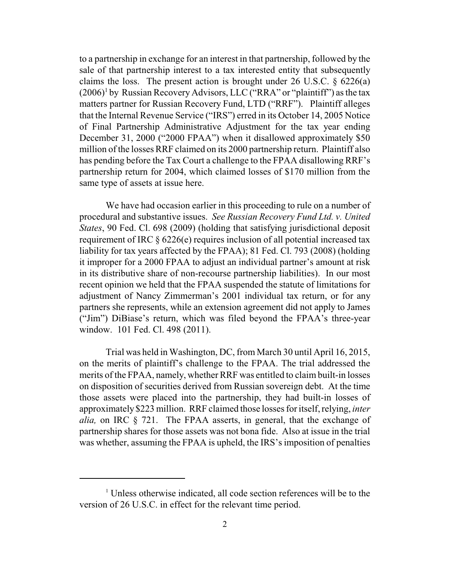to a partnership in exchange for an interest in that partnership, followed by the sale of that partnership interest to a tax interested entity that subsequently claims the loss. The present action is brought under  $26 \text{ U.S.C.}$   $\frac{6226(a)}{a}$  $(2006)^1$  by Russian Recovery Advisors, LLC ("RRA" or "plaintiff") as the tax matters partner for Russian Recovery Fund, LTD ("RRF"). Plaintiff alleges that the Internal Revenue Service ("IRS") erred in its October 14, 2005 Notice of Final Partnership Administrative Adjustment for the tax year ending December 31, 2000 ("2000 FPAA") when it disallowed approximately \$50 million of the losses RRF claimed on its 2000 partnership return. Plaintiff also has pending before the Tax Court a challenge to the FPAA disallowing RRF's partnership return for 2004, which claimed losses of \$170 million from the same type of assets at issue here.

We have had occasion earlier in this proceeding to rule on a number of procedural and substantive issues. *See Russian Recovery Fund Ltd. v. United States*, 90 Fed. Cl. 698 (2009) (holding that satisfying jurisdictional deposit requirement of IRC § 6226(e) requires inclusion of all potential increased tax liability for tax years affected by the FPAA); 81 Fed. Cl. 793 (2008) (holding it improper for a 2000 FPAA to adjust an individual partner's amount at risk in its distributive share of non-recourse partnership liabilities). In our most recent opinion we held that the FPAA suspended the statute of limitations for adjustment of Nancy Zimmerman's 2001 individual tax return, or for any partners she represents, while an extension agreement did not apply to James ("Jim") DiBiase's return, which was filed beyond the FPAA's three-year window. 101 Fed. Cl. 498 (2011).

Trial was held in Washington, DC, from March 30 until April 16, 2015, on the merits of plaintiff's challenge to the FPAA. The trial addressed the merits of the FPAA, namely, whether RRF was entitled to claim built-in losses on disposition of securities derived from Russian sovereign debt. At the time those assets were placed into the partnership, they had built-in losses of approximately \$223 million. RRF claimed those losses for itself,relying, *inter alia,* on IRC § 721. The FPAA asserts, in general, that the exchange of partnership shares for those assets was not bona fide. Also at issue in the trial was whether, assuming the FPAA is upheld, the IRS's imposition of penalties

<sup>&</sup>lt;sup>1</sup> Unless otherwise indicated, all code section references will be to the version of 26 U.S.C. in effect for the relevant time period.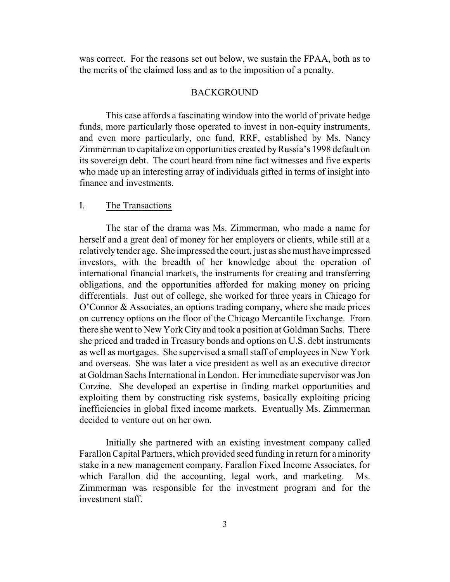was correct. For the reasons set out below, we sustain the FPAA, both as to the merits of the claimed loss and as to the imposition of a penalty.

# BACKGROUND

This case affords a fascinating window into the world of private hedge funds, more particularly those operated to invest in non-equity instruments, and even more particularly, one fund, RRF, established by Ms. Nancy Zimmerman to capitalize on opportunities created byRussia's 1998 default on its sovereign debt. The court heard from nine fact witnesses and five experts who made up an interesting array of individuals gifted in terms of insight into finance and investments.

# I. The Transactions

The star of the drama was Ms. Zimmerman, who made a name for herself and a great deal of money for her employers or clients, while still at a relatively tender age. She impressed the court, just as she must have impressed investors, with the breadth of her knowledge about the operation of international financial markets, the instruments for creating and transferring obligations, and the opportunities afforded for making money on pricing differentials. Just out of college, she worked for three years in Chicago for O'Connor & Associates, an options trading company, where she made prices on currency options on the floor of the Chicago Mercantile Exchange. From there she went to New York City and took a position at Goldman Sachs. There she priced and traded in Treasury bonds and options on U.S. debt instruments as well as mortgages. She supervised a small staff of employees in New York and overseas. She was later a vice president as well as an executive director at Goldman Sachs International in London. Her immediate supervisor was Jon Corzine. She developed an expertise in finding market opportunities and exploiting them by constructing risk systems, basically exploiting pricing inefficiencies in global fixed income markets. Eventually Ms. Zimmerman decided to venture out on her own.

Initially she partnered with an existing investment company called Farallon Capital Partners, which provided seed funding in return for a minority stake in a new management company, Farallon Fixed Income Associates, for which Farallon did the accounting, legal work, and marketing. Ms. Zimmerman was responsible for the investment program and for the investment staff.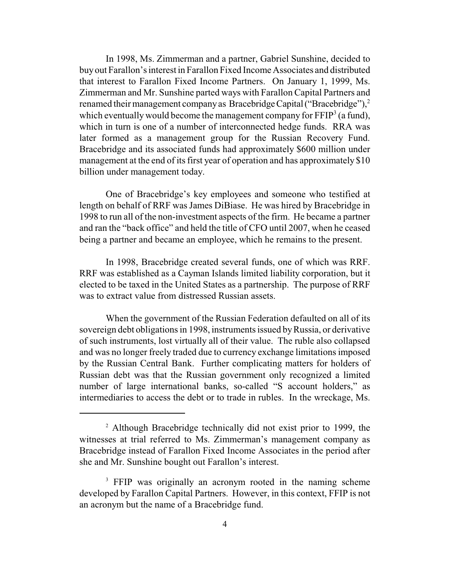In 1998, Ms. Zimmerman and a partner, Gabriel Sunshine, decided to buy out Farallon's interest in Farallon Fixed Income Associates and distributed that interest to Farallon Fixed Income Partners. On January 1, 1999, Ms. Zimmerman and Mr. Sunshine parted ways with Farallon Capital Partners and renamed their management company as Bracebridge Capital ("Bracebridge"), $^2$ which eventually would become the management company for  $\text{FFIP}^3$  (a fund), which in turn is one of a number of interconnected hedge funds. RRA was later formed as a management group for the Russian Recovery Fund. Bracebridge and its associated funds had approximately \$600 million under management at the end of its first year of operation and has approximately \$10 billion under management today.

One of Bracebridge's key employees and someone who testified at length on behalf of RRF was James DiBiase. He was hired by Bracebridge in 1998 to run all of the non-investment aspects of the firm. He became a partner and ran the "back office" and held the title of CFO until 2007, when he ceased being a partner and became an employee, which he remains to the present.

In 1998, Bracebridge created several funds, one of which was RRF. RRF was established as a Cayman Islands limited liability corporation, but it elected to be taxed in the United States as a partnership. The purpose of RRF was to extract value from distressed Russian assets.

When the government of the Russian Federation defaulted on all of its sovereign debt obligations in 1998, instruments issued byRussia, or derivative of such instruments, lost virtually all of their value. The ruble also collapsed and was no longer freely traded due to currency exchange limitations imposed by the Russian Central Bank. Further complicating matters for holders of Russian debt was that the Russian government only recognized a limited number of large international banks, so-called "S account holders," as intermediaries to access the debt or to trade in rubles. In the wreckage, Ms.

<sup>&</sup>lt;sup>2</sup> Although Bracebridge technically did not exist prior to 1999, the witnesses at trial referred to Ms. Zimmerman's management company as Bracebridge instead of Farallon Fixed Income Associates in the period after she and Mr. Sunshine bought out Farallon's interest.

<sup>&</sup>lt;sup>3</sup> FFIP was originally an acronym rooted in the naming scheme developed by Farallon Capital Partners. However, in this context, FFIP is not an acronym but the name of a Bracebridge fund.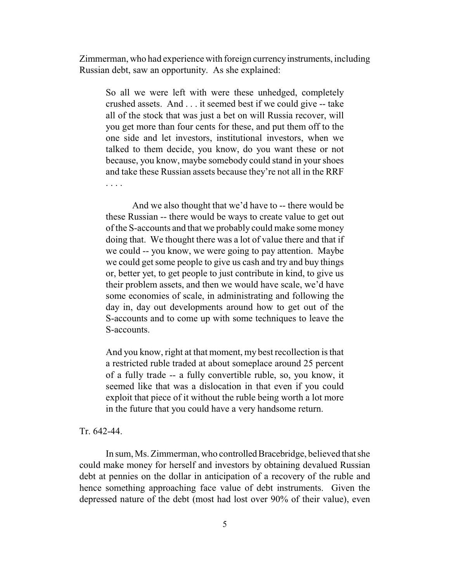Zimmerman, who had experience with foreign currencyinstruments, including Russian debt, saw an opportunity. As she explained:

So all we were left with were these unhedged, completely crushed assets. And . . . it seemed best if we could give -- take all of the stock that was just a bet on will Russia recover, will you get more than four cents for these, and put them off to the one side and let investors, institutional investors, when we talked to them decide, you know, do you want these or not because, you know, maybe somebody could stand in your shoes and take these Russian assets because they're not all in the RRF . . . .

And we also thought that we'd have to -- there would be these Russian -- there would be ways to create value to get out of the S-accounts and that we probably could make some money doing that. We thought there was a lot of value there and that if we could -- you know, we were going to pay attention. Maybe we could get some people to give us cash and try and buy things or, better yet, to get people to just contribute in kind, to give us their problem assets, and then we would have scale, we'd have some economies of scale, in administrating and following the day in, day out developments around how to get out of the S-accounts and to come up with some techniques to leave the S-accounts.

And you know, right at that moment, my best recollection is that a restricted ruble traded at about someplace around 25 percent of a fully trade -- a fully convertible ruble, so, you know, it seemed like that was a dislocation in that even if you could exploit that piece of it without the ruble being worth a lot more in the future that you could have a very handsome return.

#### Tr. 642-44.

In sum, Ms. Zimmerman, who controlled Bracebridge, believed that she could make money for herself and investors by obtaining devalued Russian debt at pennies on the dollar in anticipation of a recovery of the ruble and hence something approaching face value of debt instruments. Given the depressed nature of the debt (most had lost over 90% of their value), even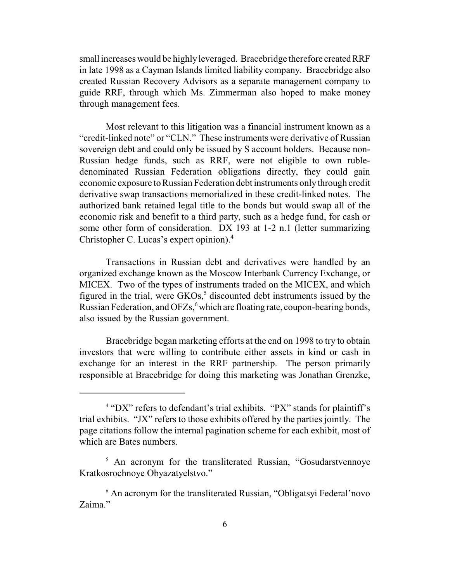small increases would be highly leveraged. Bracebridge therefore created RRF in late 1998 as a Cayman Islands limited liability company. Bracebridge also created Russian Recovery Advisors as a separate management company to guide RRF, through which Ms. Zimmerman also hoped to make money through management fees.

Most relevant to this litigation was a financial instrument known as a "credit-linked note" or "CLN." These instruments were derivative of Russian sovereign debt and could only be issued by S account holders. Because non-Russian hedge funds, such as RRF, were not eligible to own rubledenominated Russian Federation obligations directly, they could gain economic exposure to Russian Federation debt instruments onlythrough credit derivative swap transactions memorialized in these credit-linked notes. The authorized bank retained legal title to the bonds but would swap all of the economic risk and benefit to a third party, such as a hedge fund, for cash or some other form of consideration. DX 193 at 1-2 n.1 (letter summarizing Christopher C. Lucas's expert opinion).<sup>4</sup>

Transactions in Russian debt and derivatives were handled by an organized exchange known as the Moscow Interbank Currency Exchange, or MICEX. Two of the types of instruments traded on the MICEX, and which figured in the trial, were  $GKOs<sub>2</sub>$ <sup>5</sup> discounted debt instruments issued by the Russian Federation, and  $OFZs<sub>s</sub><sup>6</sup>$  which are floating rate, coupon-bearing bonds, also issued by the Russian government.

Bracebridge began marketing efforts at the end on 1998 to try to obtain investors that were willing to contribute either assets in kind or cash in exchange for an interest in the RRF partnership. The person primarily responsible at Bracebridge for doing this marketing was Jonathan Grenzke,

<sup>4</sup> "DX" refers to defendant's trial exhibits. "PX" stands for plaintiff's trial exhibits. "JX" refers to those exhibits offered by the parties jointly. The page citations follow the internal pagination scheme for each exhibit, most of which are Bates numbers.

<sup>&</sup>lt;sup>5</sup> An acronym for the transliterated Russian, "Gosudarstvennoye Kratkosrochnoye Obyazatyelstvo."

<sup>6</sup> An acronym for the transliterated Russian, "Obligatsyi Federal'novo Zaima."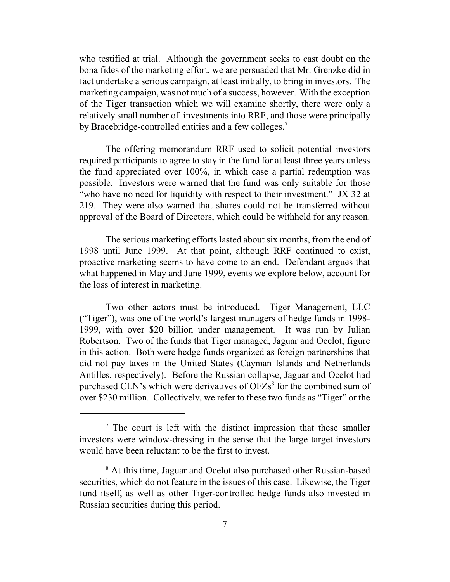who testified at trial. Although the government seeks to cast doubt on the bona fides of the marketing effort, we are persuaded that Mr. Grenzke did in fact undertake a serious campaign, at least initially, to bring in investors. The marketing campaign, was not much of a success, however. With the exception of the Tiger transaction which we will examine shortly, there were only a relatively small number of investments into RRF, and those were principally by Bracebridge-controlled entities and a few colleges.<sup>7</sup>

The offering memorandum RRF used to solicit potential investors required participants to agree to stay in the fund for at least three years unless the fund appreciated over 100%, in which case a partial redemption was possible. Investors were warned that the fund was only suitable for those "who have no need for liquidity with respect to their investment." JX 32 at 219. They were also warned that shares could not be transferred without approval of the Board of Directors, which could be withheld for any reason.

The serious marketing efforts lasted about six months, from the end of 1998 until June 1999. At that point, although RRF continued to exist, proactive marketing seems to have come to an end. Defendant argues that what happened in May and June 1999, events we explore below, account for the loss of interest in marketing.

Two other actors must be introduced. Tiger Management, LLC ("Tiger"), was one of the world's largest managers of hedge funds in 1998- 1999, with over \$20 billion under management. It was run by Julian Robertson. Two of the funds that Tiger managed, Jaguar and Ocelot, figure in this action. Both were hedge funds organized as foreign partnerships that did not pay taxes in the United States (Cayman Islands and Netherlands Antilles, respectively). Before the Russian collapse, Jaguar and Ocelot had purchased CLN's which were derivatives of  $OFZs<sup>8</sup>$  for the combined sum of over \$230 million. Collectively, we refer to these two funds as "Tiger" or the

<sup>7</sup> The court is left with the distinct impression that these smaller investors were window-dressing in the sense that the large target investors would have been reluctant to be the first to invest.

<sup>8</sup> At this time, Jaguar and Ocelot also purchased other Russian-based securities, which do not feature in the issues of this case. Likewise, the Tiger fund itself, as well as other Tiger-controlled hedge funds also invested in Russian securities during this period.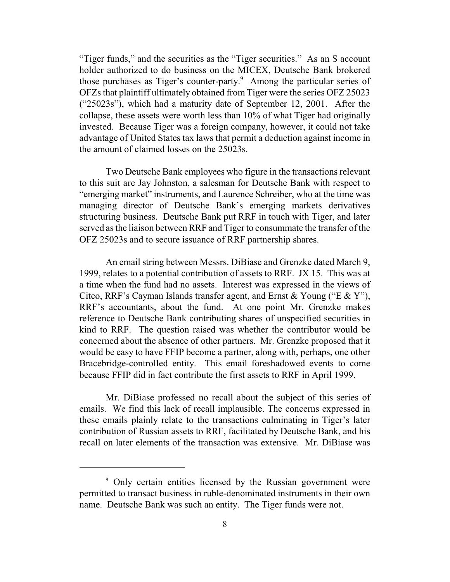"Tiger funds," and the securities as the "Tiger securities." As an S account holder authorized to do business on the MICEX, Deutsche Bank brokered those purchases as Tiger's counter-party. <sup>9</sup> Among the particular series of OFZs that plaintiff ultimately obtained from Tiger were the series OFZ 25023 ("25023s"), which had a maturity date of September 12, 2001. After the collapse, these assets were worth less than 10% of what Tiger had originally invested. Because Tiger was a foreign company, however, it could not take advantage of United States tax laws that permit a deduction against income in the amount of claimed losses on the 25023s.

Two Deutsche Bank employees who figure in the transactions relevant to this suit are Jay Johnston, a salesman for Deutsche Bank with respect to "emerging market" instruments, and Laurence Schreiber, who at the time was managing director of Deutsche Bank's emerging markets derivatives structuring business. Deutsche Bank put RRF in touch with Tiger, and later served as the liaison between RRF and Tiger to consummate the transfer of the OFZ 25023s and to secure issuance of RRF partnership shares.

An email string between Messrs. DiBiase and Grenzke dated March 9, 1999, relates to a potential contribution of assets to RRF. JX 15. This was at a time when the fund had no assets. Interest was expressed in the views of Citco, RRF's Cayman Islands transfer agent, and Ernst & Young ("E & Y"), RRF's accountants, about the fund. At one point Mr. Grenzke makes reference to Deutsche Bank contributing shares of unspecified securities in kind to RRF. The question raised was whether the contributor would be concerned about the absence of other partners. Mr. Grenzke proposed that it would be easy to have FFIP become a partner, along with, perhaps, one other Bracebridge-controlled entity. This email foreshadowed events to come because FFIP did in fact contribute the first assets to RRF in April 1999.

Mr. DiBiase professed no recall about the subject of this series of emails. We find this lack of recall implausible. The concerns expressed in these emails plainly relate to the transactions culminating in Tiger's later contribution of Russian assets to RRF, facilitated by Deutsche Bank, and his recall on later elements of the transaction was extensive. Mr. DiBiase was

<sup>9</sup> Only certain entities licensed by the Russian government were permitted to transact business in ruble-denominated instruments in their own name. Deutsche Bank was such an entity. The Tiger funds were not.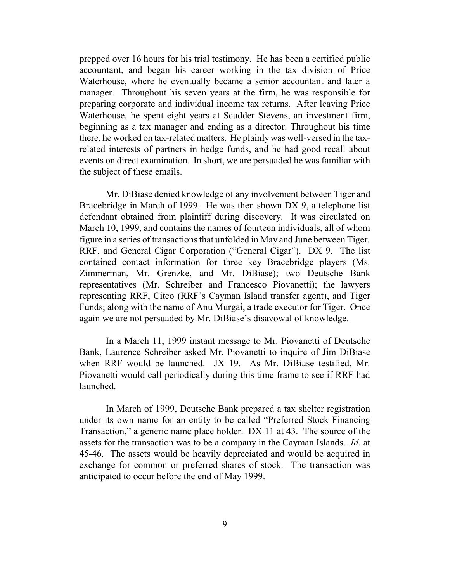prepped over 16 hours for his trial testimony. He has been a certified public accountant, and began his career working in the tax division of Price Waterhouse, where he eventually became a senior accountant and later a manager. Throughout his seven years at the firm, he was responsible for preparing corporate and individual income tax returns. After leaving Price Waterhouse, he spent eight years at Scudder Stevens, an investment firm, beginning as a tax manager and ending as a director. Throughout his time there, he worked on tax-related matters. He plainlywas well-versed in the taxrelated interests of partners in hedge funds, and he had good recall about events on direct examination. In short, we are persuaded he was familiar with the subject of these emails.

Mr. DiBiase denied knowledge of any involvement between Tiger and Bracebridge in March of 1999. He was then shown DX 9, a telephone list defendant obtained from plaintiff during discovery. It was circulated on March 10, 1999, and contains the names of fourteen individuals, all of whom figure in a series of transactions that unfolded in May and June between Tiger, RRF, and General Cigar Corporation ("General Cigar"). DX 9. The list contained contact information for three key Bracebridge players (Ms. Zimmerman, Mr. Grenzke, and Mr. DiBiase); two Deutsche Bank representatives (Mr. Schreiber and Francesco Piovanetti); the lawyers representing RRF, Citco (RRF's Cayman Island transfer agent), and Tiger Funds; along with the name of Anu Murgai, a trade executor for Tiger. Once again we are not persuaded by Mr. DiBiase's disavowal of knowledge.

In a March 11, 1999 instant message to Mr. Piovanetti of Deutsche Bank, Laurence Schreiber asked Mr. Piovanetti to inquire of Jim DiBiase when RRF would be launched. JX 19. As Mr. DiBiase testified, Mr. Piovanetti would call periodically during this time frame to see if RRF had launched.

In March of 1999, Deutsche Bank prepared a tax shelter registration under its own name for an entity to be called "Preferred Stock Financing Transaction," a generic name place holder. DX 11 at 43. The source of the assets for the transaction was to be a company in the Cayman Islands. *Id*. at 45-46. The assets would be heavily depreciated and would be acquired in exchange for common or preferred shares of stock. The transaction was anticipated to occur before the end of May 1999.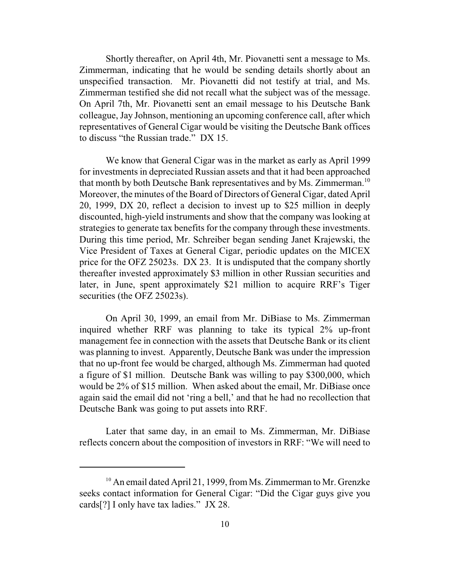Shortly thereafter, on April 4th, Mr. Piovanetti sent a message to Ms. Zimmerman, indicating that he would be sending details shortly about an unspecified transaction. Mr. Piovanetti did not testify at trial, and Ms. Zimmerman testified she did not recall what the subject was of the message. On April 7th, Mr. Piovanetti sent an email message to his Deutsche Bank colleague, Jay Johnson, mentioning an upcoming conference call, after which representatives of General Cigar would be visiting the Deutsche Bank offices to discuss "the Russian trade." DX 15.

We know that General Cigar was in the market as early as April 1999 for investments in depreciated Russian assets and that it had been approached that month by both Deutsche Bank representatives and by Ms. Zimmerman.<sup>10</sup> Moreover, the minutes of the Board of Directors of General Cigar, dated April 20, 1999, DX 20, reflect a decision to invest up to \$25 million in deeply discounted, high-yield instruments and show that the company was looking at strategies to generate tax benefits for the company through these investments. During this time period, Mr. Schreiber began sending Janet Krajewski, the Vice President of Taxes at General Cigar, periodic updates on the MICEX price for the OFZ 25023s. DX 23. It is undisputed that the company shortly thereafter invested approximately \$3 million in other Russian securities and later, in June, spent approximately \$21 million to acquire RRF's Tiger securities (the OFZ 25023s).

On April 30, 1999, an email from Mr. DiBiase to Ms. Zimmerman inquired whether RRF was planning to take its typical 2% up-front management fee in connection with the assets that Deutsche Bank or its client was planning to invest. Apparently, Deutsche Bank was under the impression that no up-front fee would be charged, although Ms. Zimmerman had quoted a figure of \$1 million. Deutsche Bank was willing to pay \$300,000, which would be 2% of \$15 million. When asked about the email, Mr. DiBiase once again said the email did not 'ring a bell,' and that he had no recollection that Deutsche Bank was going to put assets into RRF.

Later that same day, in an email to Ms. Zimmerman, Mr. DiBiase reflects concern about the composition of investors in RRF: "We will need to

<sup>&</sup>lt;sup>10</sup> An email dated April 21, 1999, from Ms. Zimmerman to Mr. Grenzke seeks contact information for General Cigar: "Did the Cigar guys give you cards[?] I only have tax ladies." JX 28.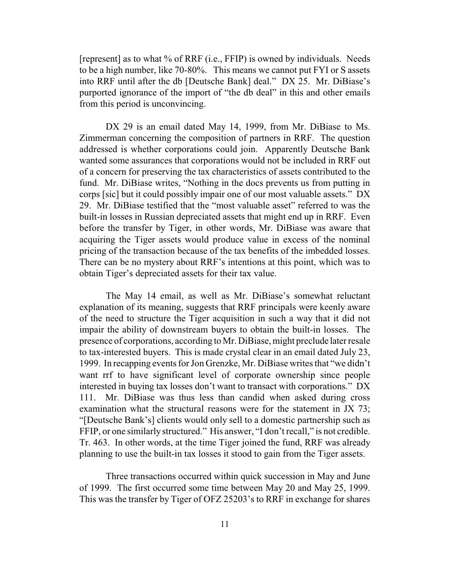[represent] as to what % of RRF (i.e., FFIP) is owned by individuals. Needs to be a high number, like 70-80%. This means we cannot put FYI or S assets into RRF until after the db [Deutsche Bank] deal." DX 25. Mr. DiBiase's purported ignorance of the import of "the db deal" in this and other emails from this period is unconvincing.

DX 29 is an email dated May 14, 1999, from Mr. DiBiase to Ms. Zimmerman concerning the composition of partners in RRF. The question addressed is whether corporations could join. Apparently Deutsche Bank wanted some assurances that corporations would not be included in RRF out of a concern for preserving the tax characteristics of assets contributed to the fund. Mr. DiBiase writes, "Nothing in the docs prevents us from putting in corps [sic] but it could possibly impair one of our most valuable assets." DX 29. Mr. DiBiase testified that the "most valuable asset" referred to was the built-in losses in Russian depreciated assets that might end up in RRF. Even before the transfer by Tiger, in other words, Mr. DiBiase was aware that acquiring the Tiger assets would produce value in excess of the nominal pricing of the transaction because of the tax benefits of the imbedded losses. There can be no mystery about RRF's intentions at this point, which was to obtain Tiger's depreciated assets for their tax value.

The May 14 email, as well as Mr. DiBiase's somewhat reluctant explanation of its meaning, suggests that RRF principals were keenly aware of the need to structure the Tiger acquisition in such a way that it did not impair the ability of downstream buyers to obtain the built-in losses. The presence of corporations, according to Mr. DiBiase, might preclude later resale to tax-interested buyers. This is made crystal clear in an email dated July 23, 1999. In recapping events for Jon Grenzke, Mr. DiBiase writes that "we didn't want rrf to have significant level of corporate ownership since people interested in buying tax losses don't want to transact with corporations." DX 111. Mr. DiBiase was thus less than candid when asked during cross examination what the structural reasons were for the statement in JX 73; "[Deutsche Bank's] clients would only sell to a domestic partnership such as FFIP, or one similarly structured." His answer, "I don't recall," is not credible. Tr. 463. In other words, at the time Tiger joined the fund, RRF was already planning to use the built-in tax losses it stood to gain from the Tiger assets.

Three transactions occurred within quick succession in May and June of 1999. The first occurred some time between May 20 and May 25, 1999. This was the transfer by Tiger of OFZ 25203's to RRF in exchange for shares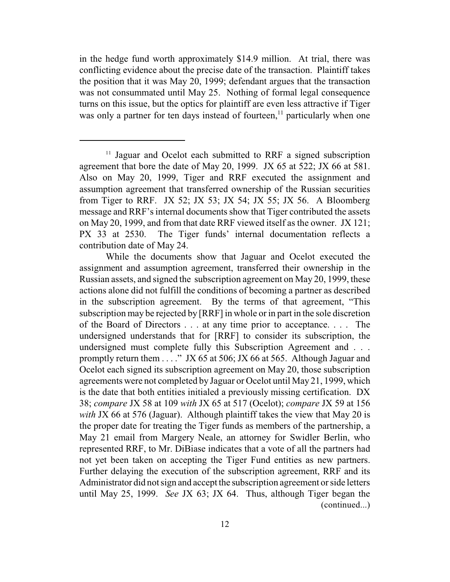in the hedge fund worth approximately \$14.9 million. At trial, there was conflicting evidence about the precise date of the transaction. Plaintiff takes the position that it was May 20, 1999; defendant argues that the transaction was not consummated until May 25. Nothing of formal legal consequence turns on this issue, but the optics for plaintiff are even less attractive if Tiger was only a partner for ten days instead of fourteen, $<sup>11</sup>$  particularly when one</sup>

<sup>&</sup>lt;sup>11</sup> Jaguar and Ocelot each submitted to RRF a signed subscription agreement that bore the date of May 20, 1999. JX 65 at 522; JX 66 at 581. Also on May 20, 1999, Tiger and RRF executed the assignment and assumption agreement that transferred ownership of the Russian securities from Tiger to RRF. JX 52; JX 53; JX 54; JX 55; JX 56. A Bloomberg message and RRF's internal documents show that Tiger contributed the assets on May 20, 1999, and from that date RRF viewed itself as the owner. JX 121; PX 33 at 2530. The Tiger funds' internal documentation reflects a contribution date of May 24.

While the documents show that Jaguar and Ocelot executed the assignment and assumption agreement, transferred their ownership in the Russian assets, and signed the subscription agreement on May 20, 1999, these actions alone did not fulfill the conditions of becoming a partner as described in the subscription agreement. By the terms of that agreement, "This subscription may be rejected by [RRF] in whole or in part in the sole discretion of the Board of Directors . . . at any time prior to acceptance. . . . The undersigned understands that for [RRF] to consider its subscription, the undersigned must complete fully this Subscription Agreement and . . . promptly return them  $\dots$ ." JX 65 at 506; JX 66 at 565. Although Jaguar and Ocelot each signed its subscription agreement on May 20, those subscription agreements were not completed by Jaguar or Ocelot until May 21, 1999, which is the date that both entities initialed a previously missing certification. DX 38; *compare* JX 58 at 109 *with* JX 65 at 517 (Ocelot); *compare* JX 59 at 156 *with* JX 66 at 576 (Jaguar). Although plaintiff takes the view that May 20 is the proper date for treating the Tiger funds as members of the partnership, a May 21 email from Margery Neale, an attorney for Swidler Berlin, who represented RRF, to Mr. DiBiase indicates that a vote of all the partners had not yet been taken on accepting the Tiger Fund entities as new partners. Further delaying the execution of the subscription agreement, RRF and its Administrator did not sign and accept the subscription agreement or side letters until May 25, 1999. *See* JX 63; JX 64. Thus, although Tiger began the (continued...)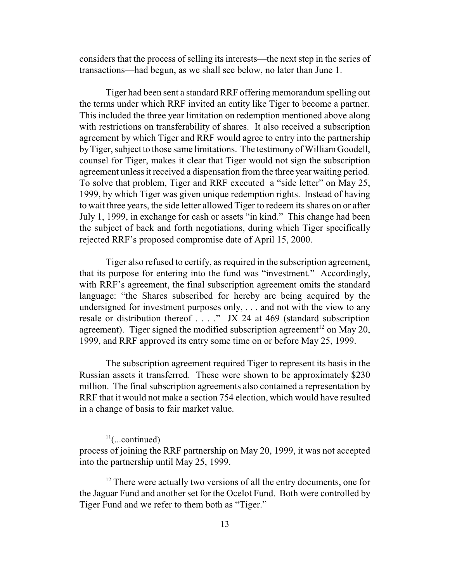considers that the process of selling its interests—the next step in the series of transactions—had begun, as we shall see below, no later than June 1.

Tiger had been sent a standard RRF offering memorandum spelling out the terms under which RRF invited an entity like Tiger to become a partner. This included the three year limitation on redemption mentioned above along with restrictions on transferability of shares. It also received a subscription agreement by which Tiger and RRF would agree to entry into the partnership byTiger, subject to those same limitations. The testimony of WilliamGoodell, counsel for Tiger, makes it clear that Tiger would not sign the subscription agreement unless it received a dispensation from the three year waiting period. To solve that problem, Tiger and RRF executed a "side letter" on May 25, 1999, by which Tiger was given unique redemption rights. Instead of having to wait three years, the side letter allowed Tiger to redeem its shares on or after July 1, 1999, in exchange for cash or assets "in kind." This change had been the subject of back and forth negotiations, during which Tiger specifically rejected RRF's proposed compromise date of April 15, 2000.

Tiger also refused to certify, as required in the subscription agreement, that its purpose for entering into the fund was "investment." Accordingly, with RRF's agreement, the final subscription agreement omits the standard language: "the Shares subscribed for hereby are being acquired by the undersigned for investment purposes only, . . . and not with the view to any resale or distribution thereof . . . ." JX 24 at 469 (standard subscription agreement). Tiger signed the modified subscription agreement<sup>12</sup> on May 20, 1999, and RRF approved its entry some time on or before May 25, 1999.

The subscription agreement required Tiger to represent its basis in the Russian assets it transferred. These were shown to be approximately \$230 million. The final subscription agreements also contained a representation by RRF that it would not make a section 754 election, which would have resulted in a change of basis to fair market value.

 $11$ (...continued)

process of joining the RRF partnership on May 20, 1999, it was not accepted into the partnership until May 25, 1999.

 $12$ <sup>12</sup> There were actually two versions of all the entry documents, one for the Jaguar Fund and another set for the Ocelot Fund. Both were controlled by Tiger Fund and we refer to them both as "Tiger."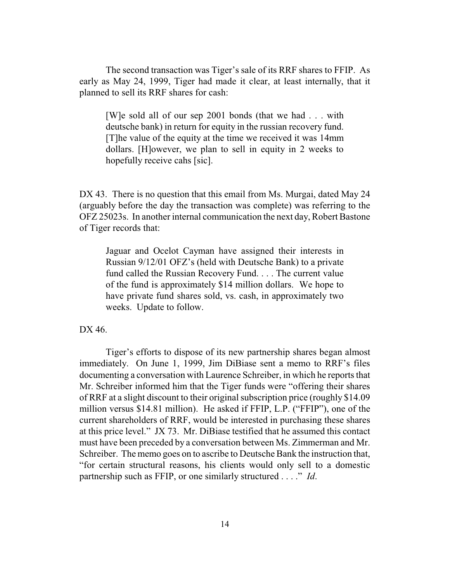The second transaction was Tiger's sale of its RRF shares to FFIP. As early as May 24, 1999, Tiger had made it clear, at least internally, that it planned to sell its RRF shares for cash:

[W]e sold all of our sep 2001 bonds (that we had . . . with deutsche bank) in return for equity in the russian recovery fund. [T]he value of the equity at the time we received it was 14mm dollars. [H]owever, we plan to sell in equity in 2 weeks to hopefully receive cahs [sic].

DX 43. There is no question that this email from Ms. Murgai, dated May 24 (arguably before the day the transaction was complete) was referring to the OFZ 25023s. In another internal communication the next day, Robert Bastone of Tiger records that:

Jaguar and Ocelot Cayman have assigned their interests in Russian 9/12/01 OFZ's (held with Deutsche Bank) to a private fund called the Russian Recovery Fund. . . . The current value of the fund is approximately \$14 million dollars. We hope to have private fund shares sold, vs. cash, in approximately two weeks. Update to follow.

## DX 46.

Tiger's efforts to dispose of its new partnership shares began almost immediately. On June 1, 1999, Jim DiBiase sent a memo to RRF's files documenting a conversation with Laurence Schreiber, in which he reports that Mr. Schreiber informed him that the Tiger funds were "offering their shares of RRF at a slight discount to their original subscription price (roughly \$14.09 million versus \$14.81 million). He asked if FFIP, L.P. ("FFIP"), one of the current shareholders of RRF, would be interested in purchasing these shares at this price level." JX 73. Mr. DiBiase testified that he assumed this contact must have been preceded by a conversation between Ms. Zimmerman and Mr. Schreiber. The memo goes on to ascribe to Deutsche Bank the instruction that, "for certain structural reasons, his clients would only sell to a domestic partnership such as FFIP, or one similarly structured . . . ." *Id*.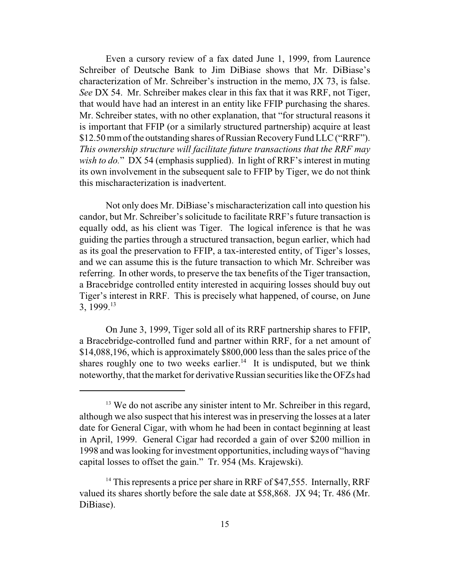Even a cursory review of a fax dated June 1, 1999, from Laurence Schreiber of Deutsche Bank to Jim DiBiase shows that Mr. DiBiase's characterization of Mr. Schreiber's instruction in the memo, JX 73, is false. *See* DX 54. Mr. Schreiber makes clear in this fax that it was RRF, not Tiger, that would have had an interest in an entity like FFIP purchasing the shares. Mr. Schreiber states, with no other explanation, that "for structural reasons it is important that FFIP (or a similarly structured partnership) acquire at least \$12.50 mm of the outstanding shares of Russian Recovery Fund LLC ("RRF"). *This ownership structure will facilitate future transactions that the RRF may wish to do.*" DX 54 (emphasis supplied). In light of RRF's interest in muting its own involvement in the subsequent sale to FFIP by Tiger, we do not think this mischaracterization is inadvertent.

Not only does Mr. DiBiase's mischaracterization call into question his candor, but Mr. Schreiber's solicitude to facilitate RRF's future transaction is equally odd, as his client was Tiger. The logical inference is that he was guiding the parties through a structured transaction, begun earlier, which had as its goal the preservation to FFIP, a tax-interested entity, of Tiger's losses, and we can assume this is the future transaction to which Mr. Schreiber was referring. In other words, to preserve the tax benefits of the Tiger transaction, a Bracebridge controlled entity interested in acquiring losses should buy out Tiger's interest in RRF. This is precisely what happened, of course, on June 3, 1999.<sup>13</sup>

On June 3, 1999, Tiger sold all of its RRF partnership shares to FFIP, a Bracebridge-controlled fund and partner within RRF, for a net amount of \$14,088,196, which is approximately \$800,000 less than the sales price of the shares roughly one to two weeks earlier.<sup>14</sup> It is undisputed, but we think noteworthy, that the market for derivative Russian securities like the OFZs had

<sup>&</sup>lt;sup>13</sup> We do not ascribe any sinister intent to Mr. Schreiber in this regard, although we also suspect that his interest was in preserving the losses at a later date for General Cigar, with whom he had been in contact beginning at least in April, 1999. General Cigar had recorded a gain of over \$200 million in 1998 and was looking forinvestment opportunities, including ways of "having capital losses to offset the gain." Tr. 954 (Ms. Krajewski).

<sup>&</sup>lt;sup>14</sup> This represents a price per share in RRF of \$47,555. Internally, RRF valued its shares shortly before the sale date at \$58,868. JX 94; Tr. 486 (Mr. DiBiase).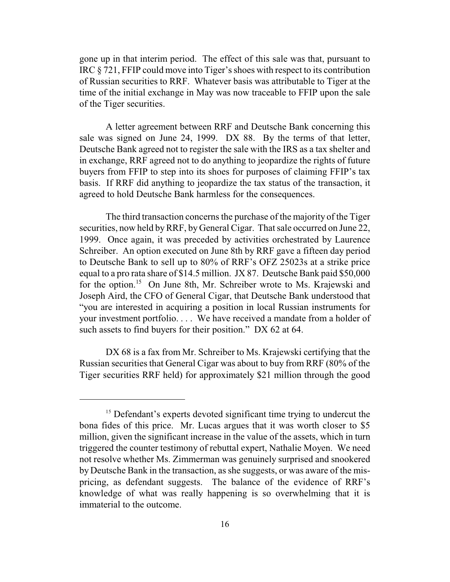gone up in that interim period. The effect of this sale was that, pursuant to IRC § 721, FFIP could move into Tiger's shoes with respect to its contribution of Russian securities to RRF. Whatever basis was attributable to Tiger at the time of the initial exchange in May was now traceable to FFIP upon the sale of the Tiger securities.

A letter agreement between RRF and Deutsche Bank concerning this sale was signed on June 24, 1999. DX 88. By the terms of that letter, Deutsche Bank agreed not to register the sale with the IRS as a tax shelter and in exchange, RRF agreed not to do anything to jeopardize the rights of future buyers from FFIP to step into its shoes for purposes of claiming FFIP's tax basis. If RRF did anything to jeopardize the tax status of the transaction, it agreed to hold Deutsche Bank harmless for the consequences.

The third transaction concerns the purchase of the majority of the Tiger securities, now held by RRF, by General Cigar. That sale occurred on June 22, 1999. Once again, it was preceded by activities orchestrated by Laurence Schreiber. An option executed on June 8th by RRF gave a fifteen day period to Deutsche Bank to sell up to 80% of RRF's OFZ 25023s at a strike price equal to a pro rata share of \$14.5 million. JX 87. Deutsche Bank paid \$50,000 for the option.<sup>15</sup> On June 8th, Mr. Schreiber wrote to Ms. Krajewski and Joseph Aird, the CFO of General Cigar, that Deutsche Bank understood that "you are interested in acquiring a position in local Russian instruments for your investment portfolio. . . . We have received a mandate from a holder of such assets to find buyers for their position." DX 62 at 64.

DX 68 is a fax from Mr. Schreiber to Ms. Krajewski certifying that the Russian securities that General Cigar was about to buy from RRF (80% of the Tiger securities RRF held) for approximately \$21 million through the good

<sup>&</sup>lt;sup>15</sup> Defendant's experts devoted significant time trying to undercut the bona fides of this price. Mr. Lucas argues that it was worth closer to \$5 million, given the significant increase in the value of the assets, which in turn triggered the counter testimony of rebuttal expert, Nathalie Moyen. We need not resolve whether Ms. Zimmerman was genuinely surprised and snookered by Deutsche Bank in the transaction, as she suggests, or was aware of the mispricing, as defendant suggests. The balance of the evidence of RRF's knowledge of what was really happening is so overwhelming that it is immaterial to the outcome.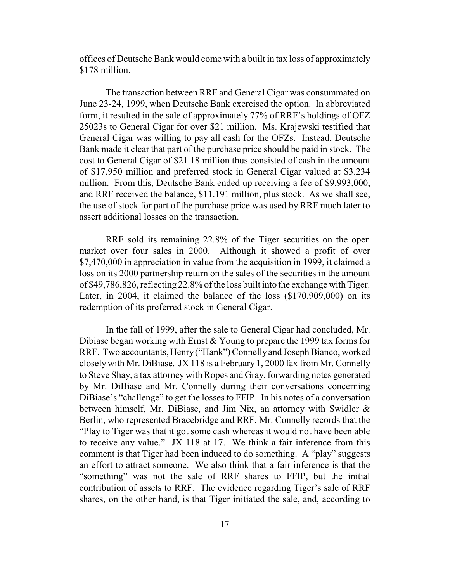offices of Deutsche Bank would come with a built in tax loss of approximately \$178 million.

The transaction between RRF and General Cigar was consummated on June 23-24, 1999, when Deutsche Bank exercised the option. In abbreviated form, it resulted in the sale of approximately 77% of RRF's holdings of OFZ 25023s to General Cigar for over \$21 million. Ms. Krajewski testified that General Cigar was willing to pay all cash for the OFZs. Instead, Deutsche Bank made it clear that part of the purchase price should be paid in stock. The cost to General Cigar of \$21.18 million thus consisted of cash in the amount of \$17.950 million and preferred stock in General Cigar valued at \$3.234 million. From this, Deutsche Bank ended up receiving a fee of \$9,993,000, and RRF received the balance, \$11.191 million, plus stock. As we shall see, the use of stock for part of the purchase price was used by RRF much later to assert additional losses on the transaction.

RRF sold its remaining 22.8% of the Tiger securities on the open market over four sales in 2000. Although it showed a profit of over \$7,470,000 in appreciation in value from the acquisition in 1999, it claimed a loss on its 2000 partnership return on the sales of the securities in the amount of \$49,786,826, reflecting 22.8% of the loss built into the exchange with Tiger. Later, in 2004, it claimed the balance of the loss (\$170,909,000) on its redemption of its preferred stock in General Cigar.

In the fall of 1999, after the sale to General Cigar had concluded, Mr. Dibiase began working with Ernst & Young to prepare the 1999 tax forms for RRF. Two accountants, Henry("Hank") Connelly and Joseph Bianco, worked closelywith Mr. DiBiase. JX 118 is a February 1, 2000 fax from Mr. Connelly to Steve Shay, a tax attorneywith Ropes and Gray, forwarding notes generated by Mr. DiBiase and Mr. Connelly during their conversations concerning DiBiase's "challenge" to get the losses to FFIP. In his notes of a conversation between himself, Mr. DiBiase, and Jim Nix, an attorney with Swidler & Berlin, who represented Bracebridge and RRF, Mr. Connelly records that the "Play to Tiger was that it got some cash whereas it would not have been able to receive any value." JX 118 at 17. We think a fair inference from this comment is that Tiger had been induced to do something. A "play" suggests an effort to attract someone. We also think that a fair inference is that the "something" was not the sale of RRF shares to FFIP, but the initial contribution of assets to RRF. The evidence regarding Tiger's sale of RRF shares, on the other hand, is that Tiger initiated the sale, and, according to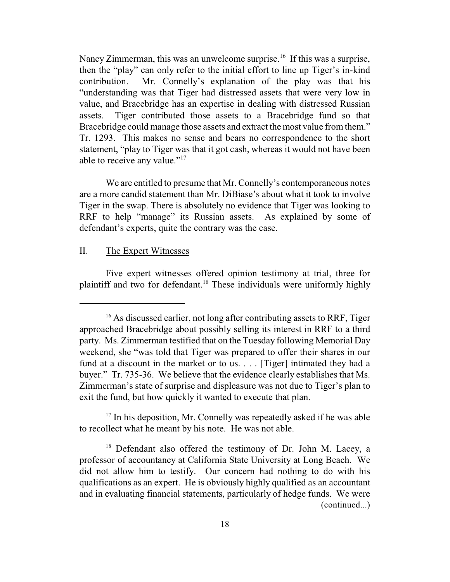Nancy Zimmerman, this was an unwelcome surprise.<sup>16</sup> If this was a surprise, then the "play" can only refer to the initial effort to line up Tiger's in-kind contribution. Mr. Connelly's explanation of the play was that his "understanding was that Tiger had distressed assets that were very low in value, and Bracebridge has an expertise in dealing with distressed Russian assets. Tiger contributed those assets to a Bracebridge fund so that Bracebridge could manage those assets and extract the most value from them." Tr. 1293. This makes no sense and bears no correspondence to the short statement, "play to Tiger was that it got cash, whereas it would not have been able to receive any value."<sup>17</sup>

We are entitled to presume that Mr. Connelly's contemporaneous notes are a more candid statement than Mr. DiBiase's about what it took to involve Tiger in the swap. There is absolutely no evidence that Tiger was looking to RRF to help "manage" its Russian assets. As explained by some of defendant's experts, quite the contrary was the case.

# II. The Expert Witnesses

Five expert witnesses offered opinion testimony at trial, three for plaintiff and two for defendant.<sup>18</sup> These individuals were uniformly highly

<sup>17</sup> In his deposition, Mr. Connelly was repeatedly asked if he was able to recollect what he meant by his note. He was not able.

<sup>&</sup>lt;sup>16</sup> As discussed earlier, not long after contributing assets to RRF, Tiger approached Bracebridge about possibly selling its interest in RRF to a third party. Ms. Zimmerman testified that on the Tuesday following Memorial Day weekend, she "was told that Tiger was prepared to offer their shares in our fund at a discount in the market or to us. . . . [Tiger] intimated they had a buyer." Tr. 735-36. We believe that the evidence clearly establishes that Ms. Zimmerman's state of surprise and displeasure was not due to Tiger's plan to exit the fund, but how quickly it wanted to execute that plan.

<sup>&</sup>lt;sup>18</sup> Defendant also offered the testimony of Dr. John M. Lacey, a professor of accountancy at California State University at Long Beach. We did not allow him to testify. Our concern had nothing to do with his qualifications as an expert. He is obviously highly qualified as an accountant and in evaluating financial statements, particularly of hedge funds. We were (continued...)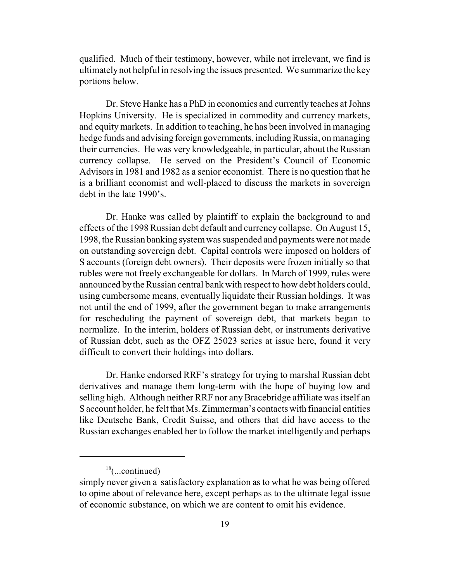qualified. Much of their testimony, however, while not irrelevant, we find is ultimately not helpful in resolving the issues presented. We summarize the key portions below.

Dr. Steve Hanke has a PhD in economics and currently teaches at Johns Hopkins University. He is specialized in commodity and currency markets, and equity markets. In addition to teaching, he has been involved in managing hedge funds and advising foreign governments, including Russia, on managing their currencies. He was very knowledgeable, in particular, about the Russian currency collapse. He served on the President's Council of Economic Advisors in 1981 and 1982 as a senior economist. There is no question that he is a brilliant economist and well-placed to discuss the markets in sovereign debt in the late 1990's.

Dr. Hanke was called by plaintiff to explain the background to and effects of the 1998 Russian debt default and currency collapse. On August 15, 1998, the Russian banking systemwas suspended and payments were not made on outstanding sovereign debt. Capital controls were imposed on holders of S accounts (foreign debt owners). Their deposits were frozen initially so that rubles were not freely exchangeable for dollars. In March of 1999, rules were announced by the Russian central bank with respect to how debt holders could, using cumbersome means, eventually liquidate their Russian holdings. It was not until the end of 1999, after the government began to make arrangements for rescheduling the payment of sovereign debt, that markets began to normalize. In the interim, holders of Russian debt, or instruments derivative of Russian debt, such as the OFZ 25023 series at issue here, found it very difficult to convert their holdings into dollars.

Dr. Hanke endorsed RRF's strategy for trying to marshal Russian debt derivatives and manage them long-term with the hope of buying low and selling high. Although neither RRF nor any Bracebridge affiliate was itself an S account holder, he felt that Ms. Zimmerman's contacts with financial entities like Deutsche Bank, Credit Suisse, and others that did have access to the Russian exchanges enabled her to follow the market intelligently and perhaps

 $18$ (...continued)

simply never given a satisfactory explanation as to what he was being offered to opine about of relevance here, except perhaps as to the ultimate legal issue of economic substance, on which we are content to omit his evidence.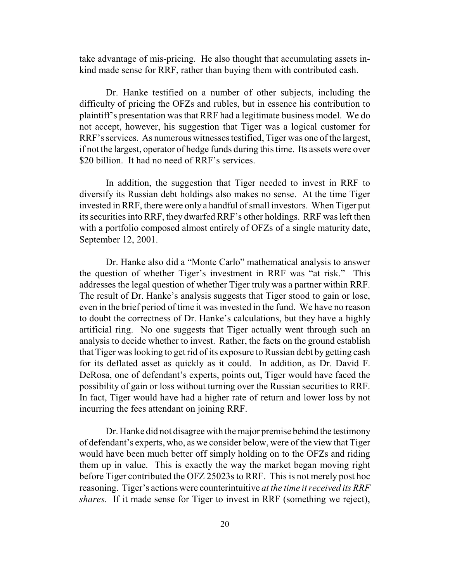take advantage of mis-pricing. He also thought that accumulating assets inkind made sense for RRF, rather than buying them with contributed cash.

Dr. Hanke testified on a number of other subjects, including the difficulty of pricing the OFZs and rubles, but in essence his contribution to plaintiff's presentation was that RRF had a legitimate business model. We do not accept, however, his suggestion that Tiger was a logical customer for RRF's services. As numerous witnesses testified, Tiger was one of the largest, if not the largest, operator of hedge funds during this time. Its assets were over \$20 billion. It had no need of RRF's services.

In addition, the suggestion that Tiger needed to invest in RRF to diversify its Russian debt holdings also makes no sense. At the time Tiger invested in RRF, there were only a handful of small investors. When Tiger put its securities into RRF, they dwarfed RRF's other holdings. RRF was left then with a portfolio composed almost entirely of OFZs of a single maturity date, September 12, 2001.

Dr. Hanke also did a "Monte Carlo" mathematical analysis to answer the question of whether Tiger's investment in RRF was "at risk." This addresses the legal question of whether Tiger truly was a partner within RRF. The result of Dr. Hanke's analysis suggests that Tiger stood to gain or lose, even in the brief period of time it was invested in the fund. We have no reason to doubt the correctness of Dr. Hanke's calculations, but they have a highly artificial ring. No one suggests that Tiger actually went through such an analysis to decide whether to invest. Rather, the facts on the ground establish that Tiger was looking to get rid of its exposure to Russian debt by getting cash for its deflated asset as quickly as it could. In addition, as Dr. David F. DeRosa, one of defendant's experts, points out, Tiger would have faced the possibility of gain or loss without turning over the Russian securities to RRF. In fact, Tiger would have had a higher rate of return and lower loss by not incurring the fees attendant on joining RRF.

Dr. Hanke did not disagree with the major premise behind the testimony of defendant's experts, who, as we consider below, were of the view that Tiger would have been much better off simply holding on to the OFZs and riding them up in value. This is exactly the way the market began moving right before Tiger contributed the OFZ 25023s to RRF. This is not merely post hoc reasoning. Tiger's actions were counterintuitive *at the time it received its RRF shares*. If it made sense for Tiger to invest in RRF (something we reject),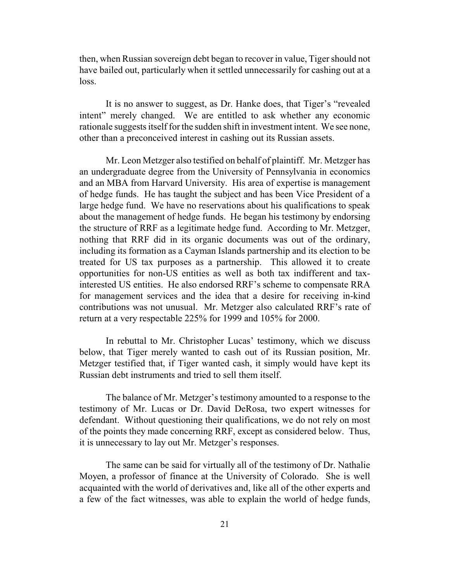then, when Russian sovereign debt began to recover in value, Tiger should not have bailed out, particularly when it settled unnecessarily for cashing out at a loss.

It is no answer to suggest, as Dr. Hanke does, that Tiger's "revealed intent" merely changed. We are entitled to ask whether any economic rationale suggests itself for the sudden shift in investment intent. We see none, other than a preconceived interest in cashing out its Russian assets.

Mr. Leon Metzger also testified on behalf of plaintiff. Mr. Metzger has an undergraduate degree from the University of Pennsylvania in economics and an MBA from Harvard University. His area of expertise is management of hedge funds. He has taught the subject and has been Vice President of a large hedge fund. We have no reservations about his qualifications to speak about the management of hedge funds. He began his testimony by endorsing the structure of RRF as a legitimate hedge fund. According to Mr. Metzger, nothing that RRF did in its organic documents was out of the ordinary, including its formation as a Cayman Islands partnership and its election to be treated for US tax purposes as a partnership. This allowed it to create opportunities for non-US entities as well as both tax indifferent and taxinterested US entities. He also endorsed RRF's scheme to compensate RRA for management services and the idea that a desire for receiving in-kind contributions was not unusual. Mr. Metzger also calculated RRF's rate of return at a very respectable 225% for 1999 and 105% for 2000.

In rebuttal to Mr. Christopher Lucas' testimony, which we discuss below, that Tiger merely wanted to cash out of its Russian position, Mr. Metzger testified that, if Tiger wanted cash, it simply would have kept its Russian debt instruments and tried to sell them itself.

The balance of Mr. Metzger's testimony amounted to a response to the testimony of Mr. Lucas or Dr. David DeRosa, two expert witnesses for defendant. Without questioning their qualifications, we do not rely on most of the points they made concerning RRF, except as considered below. Thus, it is unnecessary to lay out Mr. Metzger's responses.

The same can be said for virtually all of the testimony of Dr. Nathalie Moyen, a professor of finance at the University of Colorado. She is well acquainted with the world of derivatives and, like all of the other experts and a few of the fact witnesses, was able to explain the world of hedge funds,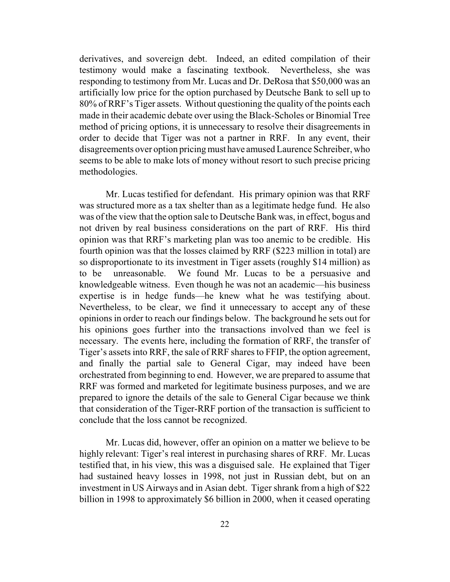derivatives, and sovereign debt. Indeed, an edited compilation of their testimony would make a fascinating textbook. Nevertheless, she was responding to testimony from Mr. Lucas and Dr. DeRosa that \$50,000 was an artificially low price for the option purchased by Deutsche Bank to sell up to 80% of RRF's Tiger assets. Without questioning the quality of the points each made in their academic debate over using the Black-Scholes or Binomial Tree method of pricing options, it is unnecessary to resolve their disagreements in order to decide that Tiger was not a partner in RRF. In any event, their disagreements over option pricing must have amused Laurence Schreiber, who seems to be able to make lots of money without resort to such precise pricing methodologies.

Mr. Lucas testified for defendant. His primary opinion was that RRF was structured more as a tax shelter than as a legitimate hedge fund. He also was of the view that the option sale to Deutsche Bank was, in effect, bogus and not driven by real business considerations on the part of RRF. His third opinion was that RRF's marketing plan was too anemic to be credible. His fourth opinion was that the losses claimed by RRF (\$223 million in total) are so disproportionate to its investment in Tiger assets (roughly \$14 million) as to be unreasonable. We found Mr. Lucas to be a persuasive and knowledgeable witness. Even though he was not an academic—his business expertise is in hedge funds—he knew what he was testifying about. Nevertheless, to be clear, we find it unnecessary to accept any of these opinions in order to reach our findings below. The background he sets out for his opinions goes further into the transactions involved than we feel is necessary. The events here, including the formation of RRF, the transfer of Tiger's assets into RRF, the sale of RRF shares to FFIP, the option agreement, and finally the partial sale to General Cigar, may indeed have been orchestrated from beginning to end. However, we are prepared to assume that RRF was formed and marketed for legitimate business purposes, and we are prepared to ignore the details of the sale to General Cigar because we think that consideration of the Tiger-RRF portion of the transaction is sufficient to conclude that the loss cannot be recognized.

Mr. Lucas did, however, offer an opinion on a matter we believe to be highly relevant: Tiger's real interest in purchasing shares of RRF. Mr. Lucas testified that, in his view, this was a disguised sale. He explained that Tiger had sustained heavy losses in 1998, not just in Russian debt, but on an investment in US Airways and in Asian debt. Tiger shrank from a high of \$22 billion in 1998 to approximately \$6 billion in 2000, when it ceased operating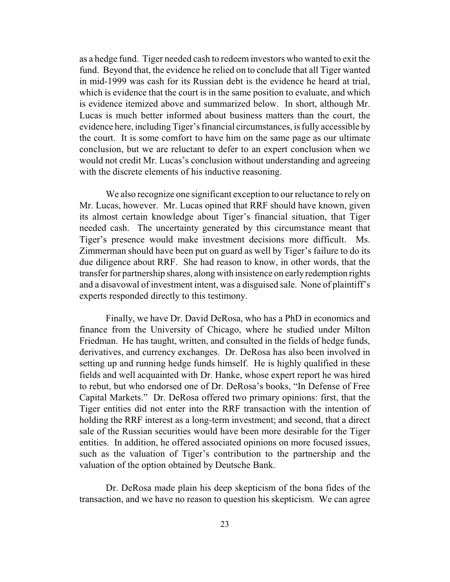as a hedge fund. Tiger needed cash to redeem investors who wanted to exit the fund. Beyond that, the evidence he relied on to conclude that all Tiger wanted in mid-1999 was cash for its Russian debt is the evidence he heard at trial, which is evidence that the court is in the same position to evaluate, and which is evidence itemized above and summarized below. In short, although Mr. Lucas is much better informed about business matters than the court, the evidence here, including Tiger's financial circumstances, is fully accessible by the court. It is some comfort to have him on the same page as our ultimate conclusion, but we are reluctant to defer to an expert conclusion when we would not credit Mr. Lucas's conclusion without understanding and agreeing with the discrete elements of his inductive reasoning.

We also recognize one significant exception to our reluctance to rely on Mr. Lucas, however. Mr. Lucas opined that RRF should have known, given its almost certain knowledge about Tiger's financial situation, that Tiger needed cash. The uncertainty generated by this circumstance meant that Tiger's presence would make investment decisions more difficult. Ms. Zimmerman should have been put on guard as well by Tiger's failure to do its due diligence about RRF. She had reason to know, in other words, that the transfer for partnership shares, along with insistence on earlyredemption rights and a disavowal of investment intent, was a disguised sale. None of plaintiff's experts responded directly to this testimony.

Finally, we have Dr. David DeRosa, who has a PhD in economics and finance from the University of Chicago, where he studied under Milton Friedman. He has taught, written, and consulted in the fields of hedge funds, derivatives, and currency exchanges. Dr. DeRosa has also been involved in setting up and running hedge funds himself. He is highly qualified in these fields and well acquainted with Dr. Hanke, whose expert report he was hired to rebut, but who endorsed one of Dr. DeRosa's books, "In Defense of Free Capital Markets." Dr. DeRosa offered two primary opinions: first, that the Tiger entities did not enter into the RRF transaction with the intention of holding the RRF interest as a long-term investment; and second, that a direct sale of the Russian securities would have been more desirable for the Tiger entities. In addition, he offered associated opinions on more focused issues, such as the valuation of Tiger's contribution to the partnership and the valuation of the option obtained by Deutsche Bank.

Dr. DeRosa made plain his deep skepticism of the bona fides of the transaction, and we have no reason to question his skepticism. We can agree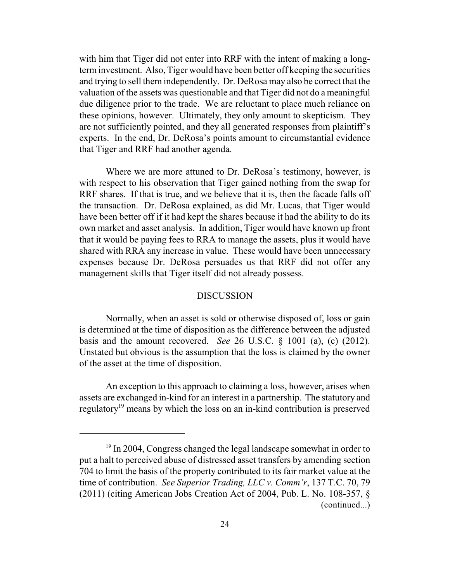with him that Tiger did not enter into RRF with the intent of making a longterminvestment. Also, Tiger would have been better off keeping the securities and trying to sell them independently. Dr. DeRosa may also be correct that the valuation of the assets was questionable and that Tiger did not do a meaningful due diligence prior to the trade. We are reluctant to place much reliance on these opinions, however. Ultimately, they only amount to skepticism. They are not sufficiently pointed, and they all generated responses from plaintiff's experts. In the end, Dr. DeRosa's points amount to circumstantial evidence that Tiger and RRF had another agenda.

Where we are more attuned to Dr. DeRosa's testimony, however, is with respect to his observation that Tiger gained nothing from the swap for RRF shares. If that is true, and we believe that it is, then the facade falls off the transaction. Dr. DeRosa explained, as did Mr. Lucas, that Tiger would have been better off if it had kept the shares because it had the ability to do its own market and asset analysis. In addition, Tiger would have known up front that it would be paying fees to RRA to manage the assets, plus it would have shared with RRA any increase in value. These would have been unnecessary expenses because Dr. DeRosa persuades us that RRF did not offer any management skills that Tiger itself did not already possess.

# DISCUSSION

Normally, when an asset is sold or otherwise disposed of, loss or gain is determined at the time of disposition as the difference between the adjusted basis and the amount recovered. *See* 26 U.S.C. § 1001 (a), (c) (2012). Unstated but obvious is the assumption that the loss is claimed by the owner of the asset at the time of disposition.

An exception to this approach to claiming a loss, however, arises when assets are exchanged in-kind for an interest in a partnership. The statutory and regulatory<sup>19</sup> means by which the loss on an in-kind contribution is preserved

<sup>&</sup>lt;sup>19</sup> In 2004, Congress changed the legal landscape somewhat in order to put a halt to perceived abuse of distressed asset transfers by amending section 704 to limit the basis of the property contributed to its fair market value at the time of contribution. *See Superior Trading, LLC v. Comm'r*, 137 T.C. 70, 79 (2011) (citing American Jobs Creation Act of 2004, Pub. L. No. 108-357, § (continued...)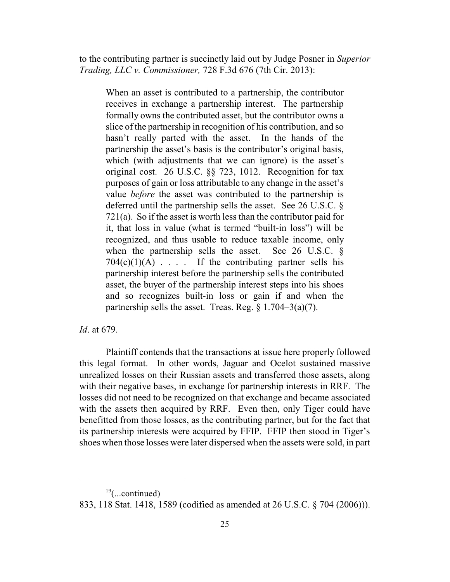to the contributing partner is succinctly laid out by Judge Posner in *Superior Trading, LLC v. Commissioner,* 728 F.3d 676 (7th Cir. 2013):

When an asset is contributed to a partnership, the contributor receives in exchange a partnership interest. The partnership formally owns the contributed asset, but the contributor owns a slice of the partnership in recognition of his contribution, and so hasn't really parted with the asset. In the hands of the partnership the asset's basis is the contributor's original basis, which (with adjustments that we can ignore) is the asset's original cost. 26 U.S.C. §§ 723, 1012. Recognition for tax purposes of gain or loss attributable to any change in the asset's value *before* the asset was contributed to the partnership is deferred until the partnership sells the asset. See 26 U.S.C. § 721(a). So if the asset is worth less than the contributor paid for it, that loss in value (what is termed "built-in loss") will be recognized, and thus usable to reduce taxable income, only when the partnership sells the asset. See 26 U.S.C. §  $704(c)(1)(A)$ .... If the contributing partner sells his partnership interest before the partnership sells the contributed asset, the buyer of the partnership interest steps into his shoes and so recognizes built-in loss or gain if and when the partnership sells the asset. Treas. Reg.  $\S 1.704 - 3(a)(7)$ .

# *Id*. at 679.

Plaintiff contends that the transactions at issue here properly followed this legal format. In other words, Jaguar and Ocelot sustained massive unrealized losses on their Russian assets and transferred those assets, along with their negative bases, in exchange for partnership interests in RRF. The losses did not need to be recognized on that exchange and became associated with the assets then acquired by RRF. Even then, only Tiger could have benefitted from those losses, as the contributing partner, but for the fact that its partnership interests were acquired by FFIP. FFIP then stood in Tiger's shoes when those losses were later dispersed when the assets were sold, in part

 $19$ (...continued)

<sup>833, 118</sup> Stat. 1418, 1589 (codified as amended at 26 U.S.C. § 704 (2006))).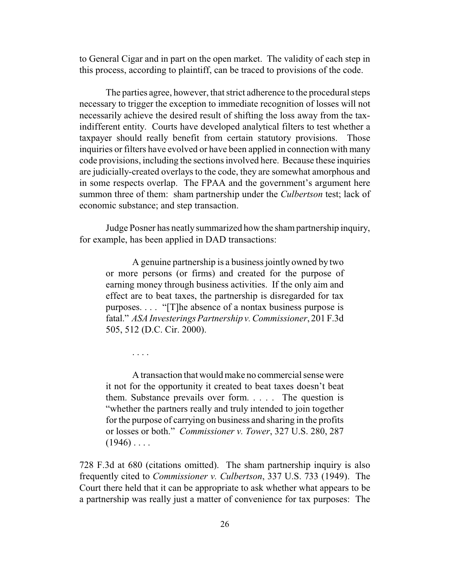to General Cigar and in part on the open market. The validity of each step in this process, according to plaintiff, can be traced to provisions of the code.

The parties agree, however, that strict adherence to the procedural steps necessary to trigger the exception to immediate recognition of losses will not necessarily achieve the desired result of shifting the loss away from the taxindifferent entity. Courts have developed analytical filters to test whether a taxpayer should really benefit from certain statutory provisions. Those inquiries or filters have evolved or have been applied in connection with many code provisions, including the sections involved here. Because these inquiries are judicially-created overlays to the code, they are somewhat amorphous and in some respects overlap. The FPAA and the government's argument here summon three of them: sham partnership under the *Culbertson* test; lack of economic substance; and step transaction.

Judge Posner has neatly summarized how the shampartnership inquiry, for example, has been applied in DAD transactions:

A genuine partnership is a business jointly owned by two or more persons (or firms) and created for the purpose of earning money through business activities. If the only aim and effect are to beat taxes, the partnership is disregarded for tax purposes. . . . "[T]he absence of a nontax business purpose is fatal." *ASA Investerings Partnership v. Commissioner*, 201 F.3d 505, 512 (D.C. Cir. 2000).

. . . .

A transaction that would make no commercial sense were it not for the opportunity it created to beat taxes doesn't beat them. Substance prevails over form. . . . . The question is "whether the partners really and truly intended to join together for the purpose of carrying on business and sharing in the profits or losses or both." *Commissioner v. Tower*, 327 U.S. 280, 287  $(1946) \ldots$ 

728 F.3d at 680 (citations omitted). The sham partnership inquiry is also frequently cited to *Commissioner v. Culbertson*, 337 U.S. 733 (1949). The Court there held that it can be appropriate to ask whether what appears to be a partnership was really just a matter of convenience for tax purposes: The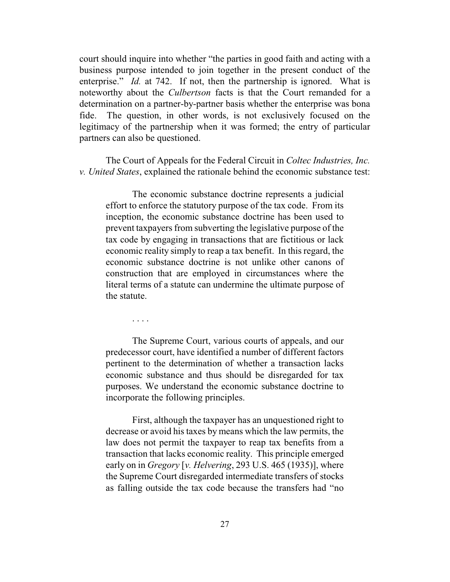court should inquire into whether "the parties in good faith and acting with a business purpose intended to join together in the present conduct of the enterprise." *Id.* at 742. If not, then the partnership is ignored. What is noteworthy about the *Culbertson* facts is that the Court remanded for a determination on a partner-by-partner basis whether the enterprise was bona fide. The question, in other words, is not exclusively focused on the legitimacy of the partnership when it was formed; the entry of particular partners can also be questioned.

The Court of Appeals for the Federal Circuit in *Coltec Industries, Inc. v. United States*, explained the rationale behind the economic substance test:

The economic substance doctrine represents a judicial effort to enforce the statutory purpose of the tax code. From its inception, the economic substance doctrine has been used to prevent taxpayers from subverting the legislative purpose of the tax code by engaging in transactions that are fictitious or lack economic reality simply to reap a tax benefit. In this regard, the economic substance doctrine is not unlike other canons of construction that are employed in circumstances where the literal terms of a statute can undermine the ultimate purpose of the statute.

. . . .

The Supreme Court, various courts of appeals, and our predecessor court, have identified a number of different factors pertinent to the determination of whether a transaction lacks economic substance and thus should be disregarded for tax purposes. We understand the economic substance doctrine to incorporate the following principles.

First, although the taxpayer has an unquestioned right to decrease or avoid his taxes by means which the law permits, the law does not permit the taxpayer to reap tax benefits from a transaction that lacks economic reality. This principle emerged early on in *Gregory* [*v. Helvering*, 293 U.S. 465 (1935)], where the Supreme Court disregarded intermediate transfers of stocks as falling outside the tax code because the transfers had "no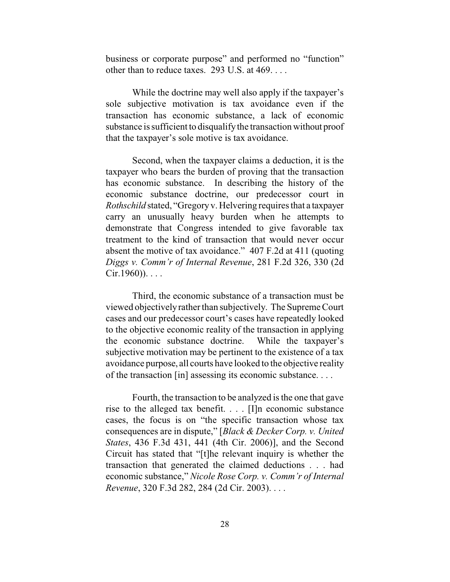business or corporate purpose" and performed no "function" other than to reduce taxes. 293 U.S. at 469. . . .

While the doctrine may well also apply if the taxpayer's sole subjective motivation is tax avoidance even if the transaction has economic substance, a lack of economic substance is sufficient to disqualifythe transaction without proof that the taxpayer's sole motive is tax avoidance.

Second, when the taxpayer claims a deduction, it is the taxpayer who bears the burden of proving that the transaction has economic substance. In describing the history of the economic substance doctrine, our predecessor court in *Rothschild* stated, "Gregoryv. Helvering requires that a taxpayer carry an unusually heavy burden when he attempts to demonstrate that Congress intended to give favorable tax treatment to the kind of transaction that would never occur absent the motive of tax avoidance." 407 F.2d at 411 (quoting *Diggs v. Comm'r of Internal Revenue*, 281 F.2d 326, 330 (2d  $Cir.1960)$ )....

Third, the economic substance of a transaction must be viewed objectivelyrather than subjectively. The Supreme Court cases and our predecessor court's cases have repeatedly looked to the objective economic reality of the transaction in applying the economic substance doctrine. While the taxpayer's subjective motivation may be pertinent to the existence of a tax avoidance purpose, all courts have looked to the objective reality of the transaction [in] assessing its economic substance. . . .

Fourth, the transaction to be analyzed is the one that gave rise to the alleged tax benefit. . . . [I]n economic substance cases, the focus is on "the specific transaction whose tax consequences are in dispute," [*Black & Decker Corp. v. United States*, 436 F.3d 431, 441 (4th Cir. 2006)], and the Second Circuit has stated that "[t]he relevant inquiry is whether the transaction that generated the claimed deductions . . . had economic substance," *Nicole Rose Corp. v. Comm'r of Internal Revenue*, 320 F.3d 282, 284 (2d Cir. 2003). . . .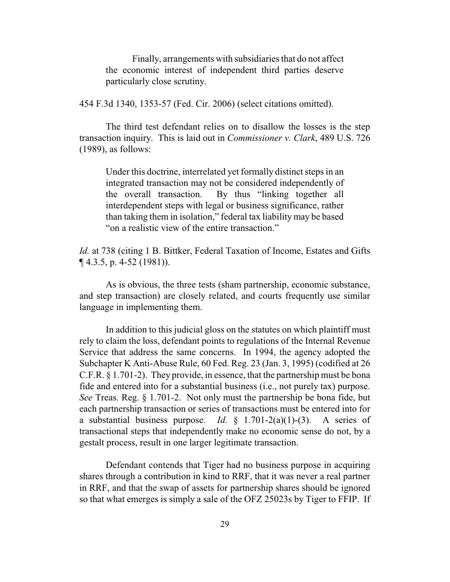Finally, arrangements with subsidiaries that do not affect the economic interest of independent third parties deserve particularly close scrutiny.

454 F.3d 1340, 1353-57 (Fed. Cir. 2006) (select citations omitted).

The third test defendant relies on to disallow the losses is the step transaction inquiry. This is laid out in *Commissioner v. Clark*, 489 U.S. 726 (1989), as follows:

Under this doctrine, interrelated yet formally distinct steps in an integrated transaction may not be considered independently of the overall transaction. By thus "linking together all interdependent steps with legal or business significance, rather than taking them in isolation," federal tax liability may be based "on a realistic view of the entire transaction."

*Id.* at 738 (citing 1 B. Bittker, Federal Taxation of Income, Estates and Gifts ¶ 4.3.5, p. 4-52 (1981)).

As is obvious, the three tests (sham partnership, economic substance, and step transaction) are closely related, and courts frequently use similar language in implementing them.

In addition to this judicial gloss on the statutes on which plaintiff must rely to claim the loss, defendant points to regulations of the Internal Revenue Service that address the same concerns. In 1994, the agency adopted the Subchapter K Anti-Abuse Rule, 60 Fed. Reg. 23 (Jan. 3, 1995) (codified at 26 C.F.R. § 1.701-2). They provide, in essence, that the partnership must be bona fide and entered into for a substantial business (i.e., not purely tax) purpose. *See* Treas. Reg. § 1.701-2. Not only must the partnership be bona fide, but each partnership transaction or series of transactions must be entered into for a substantial business purpose. *Id.*  $\oint$  1.701-2(a)(1)-(3). A series of transactional steps that independently make no economic sense do not, by a gestalt process, result in one larger legitimate transaction.

Defendant contends that Tiger had no business purpose in acquiring shares through a contribution in kind to RRF, that it was never a real partner in RRF, and that the swap of assets for partnership shares should be ignored so that what emerges is simply a sale of the OFZ 25023s by Tiger to FFIP. If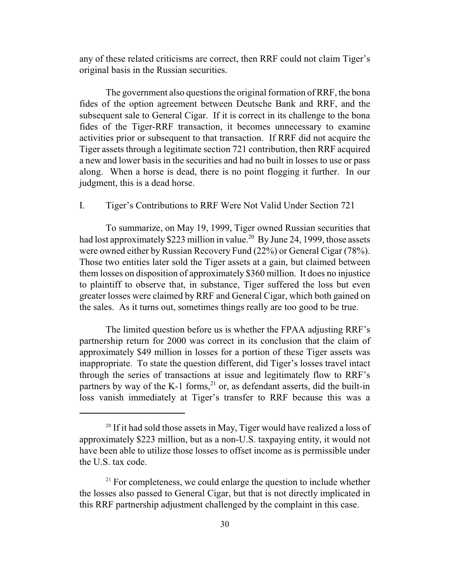any of these related criticisms are correct, then RRF could not claim Tiger's original basis in the Russian securities.

The government also questions the original formation of RRF, the bona fides of the option agreement between Deutsche Bank and RRF, and the subsequent sale to General Cigar. If it is correct in its challenge to the bona fides of the Tiger-RRF transaction, it becomes unnecessary to examine activities prior or subsequent to that transaction. If RRF did not acquire the Tiger assets through a legitimate section 721 contribution, then RRF acquired a new and lower basis in the securities and had no built in losses to use or pass along. When a horse is dead, there is no point flogging it further. In our judgment, this is a dead horse.

# I. Tiger's Contributions to RRF Were Not Valid Under Section 721

To summarize, on May 19, 1999, Tiger owned Russian securities that had lost approximately \$223 million in value.<sup>20</sup> By June 24, 1999, those assets were owned either by Russian Recovery Fund (22%) or General Cigar (78%). Those two entities later sold the Tiger assets at a gain, but claimed between them losses on disposition of approximately \$360 million. It does no injustice to plaintiff to observe that, in substance, Tiger suffered the loss but even greater losses were claimed by RRF and General Cigar, which both gained on the sales. As it turns out, sometimes things really are too good to be true.

The limited question before us is whether the FPAA adjusting RRF's partnership return for 2000 was correct in its conclusion that the claim of approximately \$49 million in losses for a portion of these Tiger assets was inappropriate. To state the question different, did Tiger's losses travel intact through the series of transactions at issue and legitimately flow to RRF's partners by way of the K-1 forms,<sup>21</sup> or, as defendant asserts, did the built-in loss vanish immediately at Tiger's transfer to RRF because this was a

<sup>&</sup>lt;sup>20</sup> If it had sold those assets in May, Tiger would have realized a loss of approximately \$223 million, but as a non-U.S. taxpaying entity, it would not have been able to utilize those losses to offset income as is permissible under the U.S. tax code.

 $21$  For completeness, we could enlarge the question to include whether the losses also passed to General Cigar, but that is not directly implicated in this RRF partnership adjustment challenged by the complaint in this case.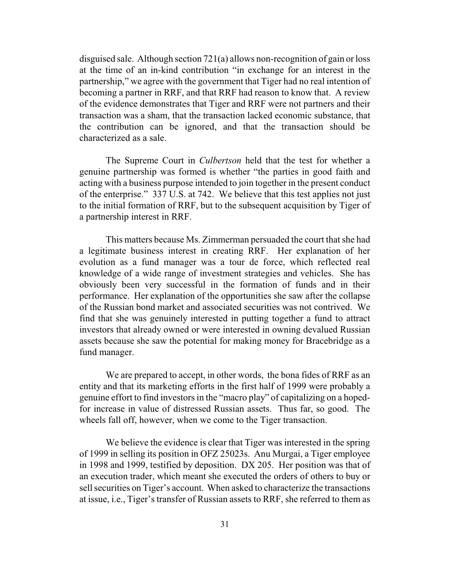disguised sale. Although section 721(a) allows non-recognition of gain or loss at the time of an in-kind contribution "in exchange for an interest in the partnership," we agree with the government that Tiger had no real intention of becoming a partner in RRF, and that RRF had reason to know that. A review of the evidence demonstrates that Tiger and RRF were not partners and their transaction was a sham, that the transaction lacked economic substance, that the contribution can be ignored, and that the transaction should be characterized as a sale.

The Supreme Court in *Culbertson* held that the test for whether a genuine partnership was formed is whether "the parties in good faith and acting with a business purpose intended to join together in the present conduct of the enterprise." 337 U.S. at 742. We believe that this test applies not just to the initial formation of RRF, but to the subsequent acquisition by Tiger of a partnership interest in RRF.

This matters because Ms. Zimmerman persuaded the court that she had a legitimate business interest in creating RRF. Her explanation of her evolution as a fund manager was a tour de force, which reflected real knowledge of a wide range of investment strategies and vehicles. She has obviously been very successful in the formation of funds and in their performance. Her explanation of the opportunities she saw after the collapse of the Russian bond market and associated securities was not contrived. We find that she was genuinely interested in putting together a fund to attract investors that already owned or were interested in owning devalued Russian assets because she saw the potential for making money for Bracebridge as a fund manager.

We are prepared to accept, in other words, the bona fides of RRF as an entity and that its marketing efforts in the first half of 1999 were probably a genuine effort to find investors in the "macro play" of capitalizing on a hopedfor increase in value of distressed Russian assets. Thus far, so good. The wheels fall off, however, when we come to the Tiger transaction.

We believe the evidence is clear that Tiger was interested in the spring of 1999 in selling its position in OFZ 25023s. Anu Murgai, a Tiger employee in 1998 and 1999, testified by deposition. DX 205. Her position was that of an execution trader, which meant she executed the orders of others to buy or sell securities on Tiger's account. When asked to characterize the transactions at issue, i.e., Tiger's transfer of Russian assets to RRF, she referred to them as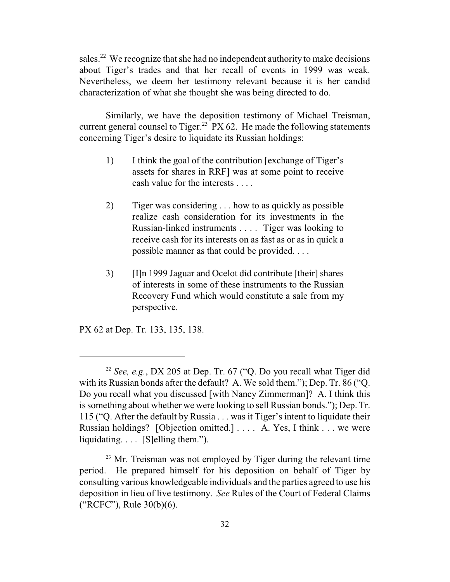sales.<sup>22</sup> We recognize that she had no independent authority to make decisions about Tiger's trades and that her recall of events in 1999 was weak. Nevertheless, we deem her testimony relevant because it is her candid characterization of what she thought she was being directed to do.

Similarly, we have the deposition testimony of Michael Treisman, current general counsel to Tiger.<sup>23</sup> PX 62. He made the following statements concerning Tiger's desire to liquidate its Russian holdings:

- 1) I think the goal of the contribution [exchange of Tiger's assets for shares in RRF] was at some point to receive cash value for the interests . . . .
- 2) Tiger was considering . . . how to as quickly as possible realize cash consideration for its investments in the Russian-linked instruments . . . . Tiger was looking to receive cash for its interests on as fast as or as in quick a possible manner as that could be provided. . . .
- 3) [I]n 1999 Jaguar and Ocelot did contribute [their] shares of interests in some of these instruments to the Russian Recovery Fund which would constitute a sale from my perspective.

PX 62 at Dep. Tr. 133, 135, 138.

<sup>22</sup> *See, e.g.*, DX 205 at Dep. Tr. 67 ("Q. Do you recall what Tiger did with its Russian bonds after the default? A. We sold them."); Dep. Tr. 86 ("Q. Do you recall what you discussed [with Nancy Zimmerman]? A. I think this is something about whether we were looking to sell Russian bonds."); Dep. Tr. 115 ("Q. After the default by Russia . . . was it Tiger's intent to liquidate their Russian holdings? [Objection omitted.] . . . . A. Yes, I think . . . we were liquidating. . . . [S]elling them.").

<sup>&</sup>lt;sup>23</sup> Mr. Treisman was not employed by Tiger during the relevant time period. He prepared himself for his deposition on behalf of Tiger by consulting various knowledgeable individuals and the parties agreed to use his deposition in lieu of live testimony. *See* Rules of the Court of Federal Claims ("RCFC"), Rule 30(b)(6).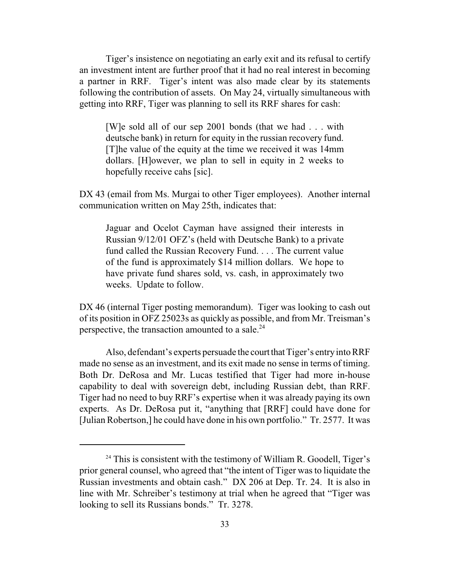Tiger's insistence on negotiating an early exit and its refusal to certify an investment intent are further proof that it had no real interest in becoming a partner in RRF. Tiger's intent was also made clear by its statements following the contribution of assets. On May 24, virtually simultaneous with getting into RRF, Tiger was planning to sell its RRF shares for cash:

[W]e sold all of our sep 2001 bonds (that we had . . . with deutsche bank) in return for equity in the russian recovery fund. [T]he value of the equity at the time we received it was 14mm dollars. [H]owever, we plan to sell in equity in 2 weeks to hopefully receive cahs [sic].

DX 43 (email from Ms. Murgai to other Tiger employees). Another internal communication written on May 25th, indicates that:

Jaguar and Ocelot Cayman have assigned their interests in Russian 9/12/01 OFZ's (held with Deutsche Bank) to a private fund called the Russian Recovery Fund. . . . The current value of the fund is approximately \$14 million dollars. We hope to have private fund shares sold, vs. cash, in approximately two weeks. Update to follow.

DX 46 (internal Tiger posting memorandum). Tiger was looking to cash out of its position in OFZ 25023s as quickly as possible, and from Mr. Treisman's perspective, the transaction amounted to a sale. $^{24}$ 

Also, defendant's experts persuade the court that Tiger's entry into RRF made no sense as an investment, and its exit made no sense in terms of timing. Both Dr. DeRosa and Mr. Lucas testified that Tiger had more in-house capability to deal with sovereign debt, including Russian debt, than RRF. Tiger had no need to buy RRF's expertise when it was already paying its own experts. As Dr. DeRosa put it, "anything that [RRF] could have done for [Julian Robertson,] he could have done in his own portfolio." Tr. 2577. It was

<sup>&</sup>lt;sup>24</sup> This is consistent with the testimony of William R. Goodell, Tiger's prior general counsel, who agreed that "the intent of Tiger was to liquidate the Russian investments and obtain cash." DX 206 at Dep. Tr. 24. It is also in line with Mr. Schreiber's testimony at trial when he agreed that "Tiger was looking to sell its Russians bonds." Tr. 3278.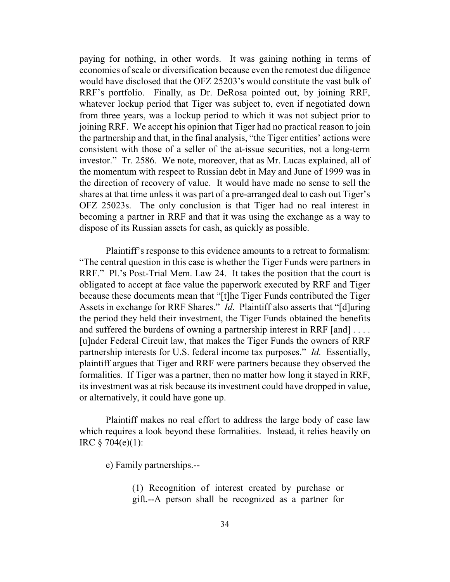paying for nothing, in other words. It was gaining nothing in terms of economies of scale or diversification because even the remotest due diligence would have disclosed that the OFZ 25203's would constitute the vast bulk of RRF's portfolio. Finally, as Dr. DeRosa pointed out, by joining RRF, whatever lockup period that Tiger was subject to, even if negotiated down from three years, was a lockup period to which it was not subject prior to joining RRF. We accept his opinion that Tiger had no practical reason to join the partnership and that, in the final analysis, "the Tiger entities' actions were consistent with those of a seller of the at-issue securities, not a long-term investor." Tr. 2586. We note, moreover, that as Mr. Lucas explained, all of the momentum with respect to Russian debt in May and June of 1999 was in the direction of recovery of value. It would have made no sense to sell the shares at that time unless it was part of a pre-arranged deal to cash out Tiger's OFZ 25023s. The only conclusion is that Tiger had no real interest in becoming a partner in RRF and that it was using the exchange as a way to dispose of its Russian assets for cash, as quickly as possible.

Plaintiff's response to this evidence amounts to a retreat to formalism: "The central question in this case is whether the Tiger Funds were partners in RRF." Pl.'s Post-Trial Mem. Law 24. It takes the position that the court is obligated to accept at face value the paperwork executed by RRF and Tiger because these documents mean that "[t]he Tiger Funds contributed the Tiger Assets in exchange for RRF Shares." *Id*. Plaintiff also asserts that "[d]uring the period they held their investment, the Tiger Funds obtained the benefits and suffered the burdens of owning a partnership interest in RRF [and] . . . . [u]nder Federal Circuit law, that makes the Tiger Funds the owners of RRF partnership interests for U.S. federal income tax purposes." *Id.* Essentially, plaintiff argues that Tiger and RRF were partners because they observed the formalities. If Tiger was a partner, then no matter how long it stayed in RRF, its investment was at risk because its investment could have dropped in value, or alternatively, it could have gone up.

Plaintiff makes no real effort to address the large body of case law which requires a look beyond these formalities. Instead, it relies heavily on IRC § 704(e)(1):

e) Family partnerships.--

(1) Recognition of interest created by purchase or gift.--A person shall be recognized as a partner for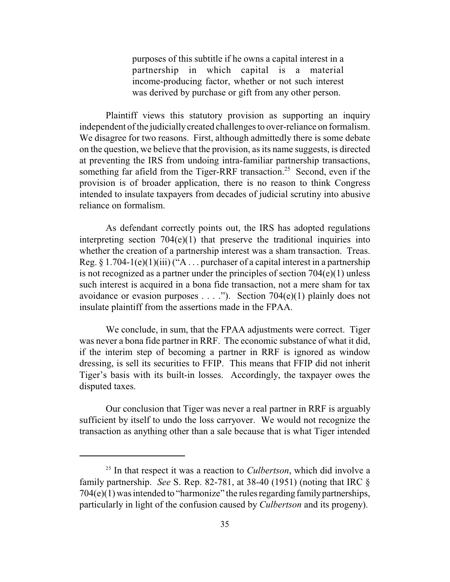purposes of this subtitle if he owns a capital interest in a partnership in which capital is a material income-producing factor, whether or not such interest was derived by purchase or gift from any other person.

Plaintiff views this statutory provision as supporting an inquiry independent of the judicially created challenges to over-reliance on formalism. We disagree for two reasons. First, although admittedly there is some debate on the question, we believe that the provision, as its name suggests, is directed at preventing the IRS from undoing intra-familiar partnership transactions, something far afield from the Tiger-RRF transaction.<sup>25</sup> Second, even if the provision is of broader application, there is no reason to think Congress intended to insulate taxpayers from decades of judicial scrutiny into abusive reliance on formalism.

As defendant correctly points out, the IRS has adopted regulations interpreting section  $704(e)(1)$  that preserve the traditional inquiries into whether the creation of a partnership interest was a sham transaction. Treas. Reg.  $\S 1.704-1(e)(1)(iii)$  ("A ... purchaser of a capital interest in a partnership is not recognized as a partner under the principles of section 704(e)(1) unless such interest is acquired in a bona fide transaction, not a mere sham for tax avoidance or evasion purposes . . . ."). Section 704(e)(1) plainly does not insulate plaintiff from the assertions made in the FPAA.

We conclude, in sum, that the FPAA adjustments were correct. Tiger was never a bona fide partner in RRF. The economic substance of what it did, if the interim step of becoming a partner in RRF is ignored as window dressing, is sell its securities to FFIP. This means that FFIP did not inherit Tiger's basis with its built-in losses. Accordingly, the taxpayer owes the disputed taxes.

Our conclusion that Tiger was never a real partner in RRF is arguably sufficient by itself to undo the loss carryover. We would not recognize the transaction as anything other than a sale because that is what Tiger intended

<sup>25</sup> In that respect it was a reaction to *Culbertson*, which did involve a family partnership. *See* S. Rep. 82-781, at 38-40 (1951) (noting that IRC § 704(e)(1) was intended to "harmonize" the rules regarding familypartnerships, particularly in light of the confusion caused by *Culbertson* and its progeny).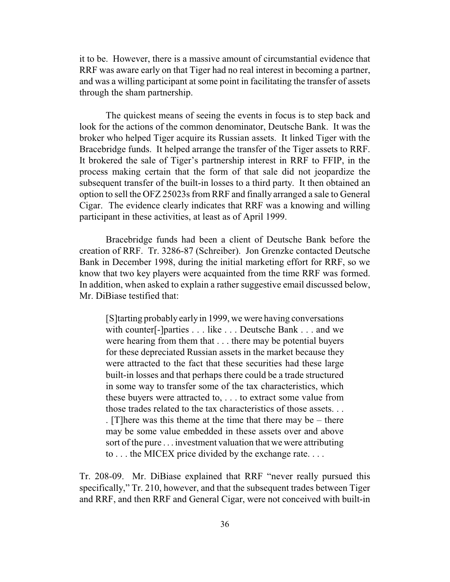it to be. However, there is a massive amount of circumstantial evidence that RRF was aware early on that Tiger had no real interest in becoming a partner, and was a willing participant at some point in facilitating the transfer of assets through the sham partnership.

The quickest means of seeing the events in focus is to step back and look for the actions of the common denominator, Deutsche Bank. It was the broker who helped Tiger acquire its Russian assets. It linked Tiger with the Bracebridge funds. It helped arrange the transfer of the Tiger assets to RRF. It brokered the sale of Tiger's partnership interest in RRF to FFIP, in the process making certain that the form of that sale did not jeopardize the subsequent transfer of the built-in losses to a third party. It then obtained an option to sell the OFZ 25023s from RRF and finally arranged a sale to General Cigar. The evidence clearly indicates that RRF was a knowing and willing participant in these activities, at least as of April 1999.

Bracebridge funds had been a client of Deutsche Bank before the creation of RRF. Tr. 3286-87 (Schreiber). Jon Grenzke contacted Deutsche Bank in December 1998, during the initial marketing effort for RRF, so we know that two key players were acquainted from the time RRF was formed. In addition, when asked to explain a rather suggestive email discussed below, Mr. DiBiase testified that:

[S]tarting probably early in 1999, we were having conversations with counter<sup>[-]</sup>parties . . . like . . . Deutsche Bank . . . and we were hearing from them that . . . there may be potential buyers for these depreciated Russian assets in the market because they were attracted to the fact that these securities had these large built-in losses and that perhaps there could be a trade structured in some way to transfer some of the tax characteristics, which these buyers were attracted to, . . . to extract some value from those trades related to the tax characteristics of those assets. . . . [T]here was this theme at the time that there may be – there may be some value embedded in these assets over and above sort of the pure . . . investment valuation that we were attributing to . . . the MICEX price divided by the exchange rate. . . .

Tr. 208-09. Mr. DiBiase explained that RRF "never really pursued this specifically," Tr. 210, however, and that the subsequent trades between Tiger and RRF, and then RRF and General Cigar, were not conceived with built-in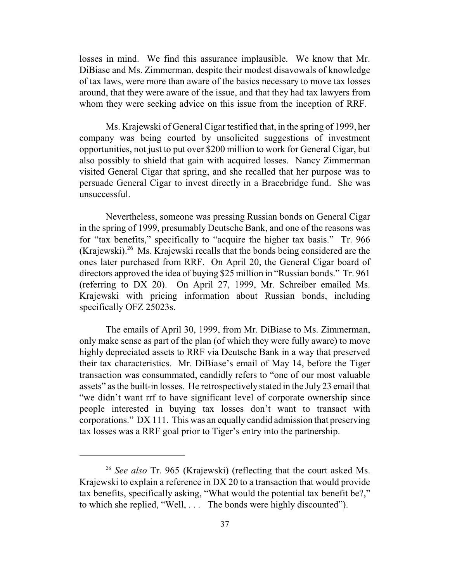losses in mind. We find this assurance implausible. We know that Mr. DiBiase and Ms. Zimmerman, despite their modest disavowals of knowledge of tax laws, were more than aware of the basics necessary to move tax losses around, that they were aware of the issue, and that they had tax lawyers from whom they were seeking advice on this issue from the inception of RRF.

Ms. Krajewski of General Cigar testified that, in the spring of 1999, her company was being courted by unsolicited suggestions of investment opportunities, not just to put over \$200 million to work for General Cigar, but also possibly to shield that gain with acquired losses. Nancy Zimmerman visited General Cigar that spring, and she recalled that her purpose was to persuade General Cigar to invest directly in a Bracebridge fund. She was unsuccessful.

Nevertheless, someone was pressing Russian bonds on General Cigar in the spring of 1999, presumably Deutsche Bank, and one of the reasons was for "tax benefits," specifically to "acquire the higher tax basis." Tr. 966 (Krajewski).<sup>26</sup> Ms. Krajewski recalls that the bonds being considered are the ones later purchased from RRF. On April 20, the General Cigar board of directors approved the idea of buying \$25 million in "Russian bonds." Tr. 961 (referring to DX 20). On April 27, 1999, Mr. Schreiber emailed Ms. Krajewski with pricing information about Russian bonds, including specifically OFZ 25023s.

The emails of April 30, 1999, from Mr. DiBiase to Ms. Zimmerman, only make sense as part of the plan (of which they were fully aware) to move highly depreciated assets to RRF via Deutsche Bank in a way that preserved their tax characteristics. Mr. DiBiase's email of May 14, before the Tiger transaction was consummated, candidly refers to "one of our most valuable assets" as the built-in losses. He retrospectively stated in the July 23 email that "we didn't want rrf to have significant level of corporate ownership since people interested in buying tax losses don't want to transact with corporations." DX 111. This was an equally candid admission that preserving tax losses was a RRF goal prior to Tiger's entry into the partnership.

<sup>26</sup> *See also* Tr. 965 (Krajewski) (reflecting that the court asked Ms. Krajewski to explain a reference in DX 20 to a transaction that would provide tax benefits, specifically asking, "What would the potential tax benefit be?," to which she replied, "Well, . . . The bonds were highly discounted").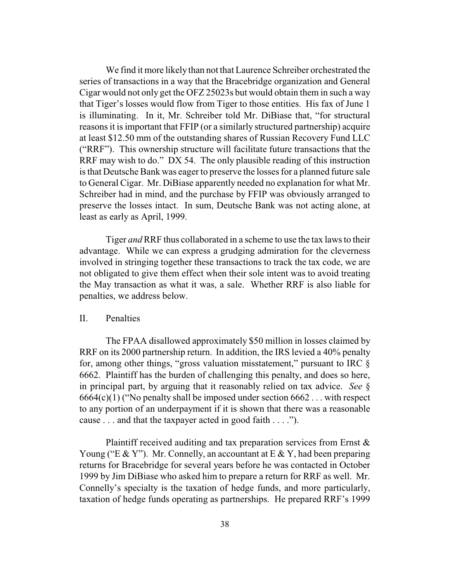We find it more likely than not that Laurence Schreiber orchestrated the series of transactions in a way that the Bracebridge organization and General Cigar would not only get the OFZ 25023s but would obtain them in such a way that Tiger's losses would flow from Tiger to those entities. His fax of June 1 is illuminating. In it, Mr. Schreiber told Mr. DiBiase that, "for structural reasons it is important that FFIP (or a similarly structured partnership) acquire at least \$12.50 mm of the outstanding shares of Russian Recovery Fund LLC ("RRF"). This ownership structure will facilitate future transactions that the RRF may wish to do." DX 54. The only plausible reading of this instruction is that Deutsche Bank was eager to preserve the losses for a planned future sale to General Cigar. Mr. DiBiase apparently needed no explanation for what Mr. Schreiber had in mind, and the purchase by FFIP was obviously arranged to preserve the losses intact. In sum, Deutsche Bank was not acting alone, at least as early as April, 1999.

Tiger *and*RRF thus collaborated in a scheme to use the tax laws to their advantage. While we can express a grudging admiration for the cleverness involved in stringing together these transactions to track the tax code, we are not obligated to give them effect when their sole intent was to avoid treating the May transaction as what it was, a sale. Whether RRF is also liable for penalties, we address below.

## II. Penalties

The FPAA disallowed approximately \$50 million in losses claimed by RRF on its 2000 partnership return. In addition, the IRS levied a 40% penalty for, among other things, "gross valuation misstatement," pursuant to IRC  $\S$ 6662. Plaintiff has the burden of challenging this penalty, and does so here, in principal part, by arguing that it reasonably relied on tax advice. *See* §  $6664(c)(1)$  ("No penalty shall be imposed under section  $6662...$  with respect to any portion of an underpayment if it is shown that there was a reasonable cause . . . and that the taxpayer acted in good faith . . . .").

Plaintiff received auditing and tax preparation services from Ernst & Young ("E & Y"). Mr. Connelly, an accountant at E & Y, had been preparing returns for Bracebridge for several years before he was contacted in October 1999 by Jim DiBiase who asked him to prepare a return for RRF as well. Mr. Connelly's specialty is the taxation of hedge funds, and more particularly, taxation of hedge funds operating as partnerships. He prepared RRF's 1999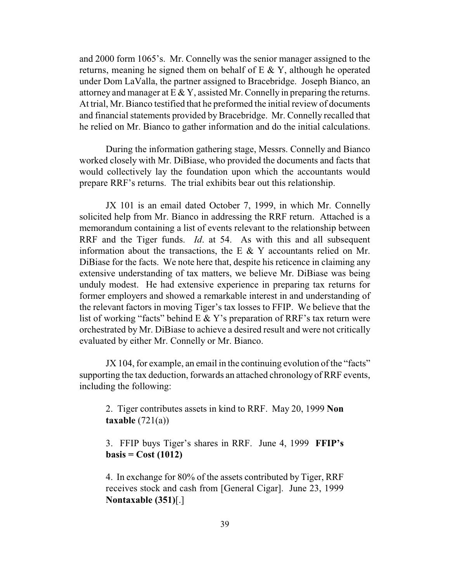and 2000 form 1065's. Mr. Connelly was the senior manager assigned to the returns, meaning he signed them on behalf of  $E \& Y$ , although he operated under Dom LaValla, the partner assigned to Bracebridge. Joseph Bianco, an attorney and manager at  $E \& Y$ , assisted Mr. Connelly in preparing the returns. At trial, Mr. Bianco testified that he preformed the initial review of documents and financial statements provided byBracebridge. Mr. Connelly recalled that he relied on Mr. Bianco to gather information and do the initial calculations.

During the information gathering stage, Messrs. Connelly and Bianco worked closely with Mr. DiBiase, who provided the documents and facts that would collectively lay the foundation upon which the accountants would prepare RRF's returns. The trial exhibits bear out this relationship.

JX 101 is an email dated October 7, 1999, in which Mr. Connelly solicited help from Mr. Bianco in addressing the RRF return. Attached is a memorandum containing a list of events relevant to the relationship between RRF and the Tiger funds. *Id*. at 54. As with this and all subsequent information about the transactions, the E  $&Y$  accountants relied on Mr. DiBiase for the facts. We note here that, despite his reticence in claiming any extensive understanding of tax matters, we believe Mr. DiBiase was being unduly modest. He had extensive experience in preparing tax returns for former employers and showed a remarkable interest in and understanding of the relevant factors in moving Tiger's tax losses to FFIP. We believe that the list of working "facts" behind  $E \& Y$ 's preparation of RRF's tax return were orchestrated by Mr. DiBiase to achieve a desired result and were not critically evaluated by either Mr. Connelly or Mr. Bianco.

JX 104, for example, an email in the continuing evolution of the "facts" supporting the tax deduction, forwards an attached chronology of RRF events, including the following:

2. Tiger contributes assets in kind to RRF. May 20, 1999 **Non taxable** (721(a))

3. FFIP buys Tiger's shares in RRF. June 4, 1999 **FFIP's basis = Cost (1012)**

4. In exchange for 80% of the assets contributed by Tiger, RRF receives stock and cash from [General Cigar]. June 23, 1999 **Nontaxable (351)**[.]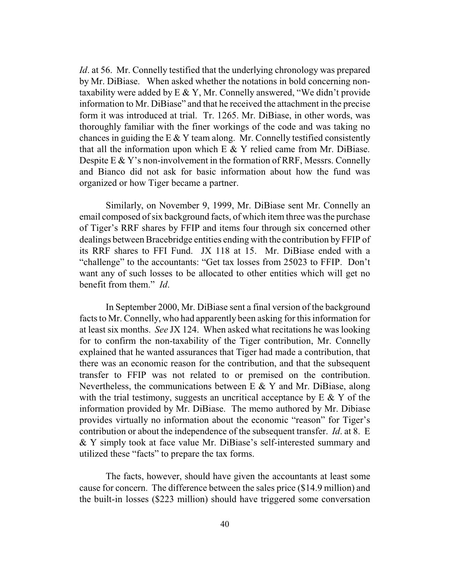*Id*. at 56. Mr. Connelly testified that the underlying chronology was prepared by Mr. DiBiase. When asked whether the notations in bold concerning nontaxability were added by  $E \& Y$ , Mr. Connelly answered, "We didn't provide information to Mr. DiBiase" and that he received the attachment in the precise form it was introduced at trial. Tr. 1265. Mr. DiBiase, in other words, was thoroughly familiar with the finer workings of the code and was taking no chances in guiding the E  $&Y$  team along. Mr. Connelly testified consistently that all the information upon which  $E \& Y$  relied came from Mr. DiBiase. Despite  $E \& Y$ 's non-involvement in the formation of RRF, Messrs. Connelly and Bianco did not ask for basic information about how the fund was organized or how Tiger became a partner.

Similarly, on November 9, 1999, Mr. DiBiase sent Mr. Connelly an email composed of six background facts, of which item three was the purchase of Tiger's RRF shares by FFIP and items four through six concerned other dealings between Bracebridge entities ending with the contribution by FFIP of its RRF shares to FFI Fund. JX 118 at 15. Mr. DiBiase ended with a "challenge" to the accountants: "Get tax losses from 25023 to FFIP. Don't want any of such losses to be allocated to other entities which will get no benefit from them." *Id*.

In September 2000, Mr. DiBiase sent a final version of the background facts to Mr. Connelly, who had apparently been asking for this information for at least six months. *See* JX 124. When asked what recitations he was looking for to confirm the non-taxability of the Tiger contribution, Mr. Connelly explained that he wanted assurances that Tiger had made a contribution, that there was an economic reason for the contribution, and that the subsequent transfer to FFIP was not related to or premised on the contribution. Nevertheless, the communications between  $E \& Y$  and Mr. DiBiase, along with the trial testimony, suggests an uncritical acceptance by  $E \& Y$  of the information provided by Mr. DiBiase. The memo authored by Mr. Dibiase provides virtually no information about the economic "reason" for Tiger's contribution or about the independence of the subsequent transfer. *Id*. at 8. E & Y simply took at face value Mr. DiBiase's self-interested summary and utilized these "facts" to prepare the tax forms.

The facts, however, should have given the accountants at least some cause for concern. The difference between the sales price (\$14.9 million) and the built-in losses (\$223 million) should have triggered some conversation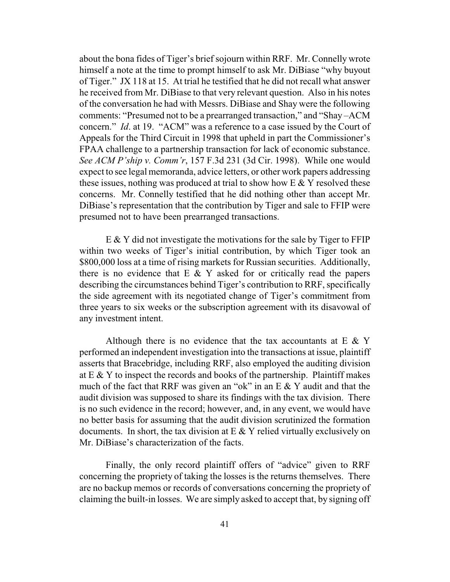about the bona fides of Tiger's brief sojourn within RRF. Mr. Connelly wrote himself a note at the time to prompt himself to ask Mr. DiBiase "why buyout of Tiger." JX 118 at 15. At trial he testified that he did not recall what answer he received from Mr. DiBiase to that very relevant question. Also in his notes of the conversation he had with Messrs. DiBiase and Shay were the following comments: "Presumed not to be a prearranged transaction," and "Shay –ACM concern." *Id*. at 19. "ACM" was a reference to a case issued by the Court of Appeals for the Third Circuit in 1998 that upheld in part the Commissioner's FPAA challenge to a partnership transaction for lack of economic substance. *See ACM P'ship v. Comm'r*, 157 F.3d 231 (3d Cir. 1998). While one would expect to see legal memoranda, advice letters, or other work papers addressing these issues, nothing was produced at trial to show how  $E \& Y$  resolved these concerns. Mr. Connelly testified that he did nothing other than accept Mr. DiBiase's representation that the contribution by Tiger and sale to FFIP were presumed not to have been prearranged transactions.

E & Y did not investigate the motivations for the sale by Tiger to FFIP within two weeks of Tiger's initial contribution, by which Tiger took an \$800,000 loss at a time of rising markets for Russian securities. Additionally, there is no evidence that  $E \& Y$  asked for or critically read the papers describing the circumstances behind Tiger's contribution to RRF, specifically the side agreement with its negotiated change of Tiger's commitment from three years to six weeks or the subscription agreement with its disavowal of any investment intent.

Although there is no evidence that the tax accountants at  $E \& Y$ performed an independent investigation into the transactions at issue, plaintiff asserts that Bracebridge, including RRF, also employed the auditing division at  $E \& Y$  to inspect the records and books of the partnership. Plaintiff makes much of the fact that RRF was given an "ok" in an  $E \& Y$  audit and that the audit division was supposed to share its findings with the tax division. There is no such evidence in the record; however, and, in any event, we would have no better basis for assuming that the audit division scrutinized the formation documents. In short, the tax division at  $E \& Y$  relied virtually exclusively on Mr. DiBiase's characterization of the facts.

Finally, the only record plaintiff offers of "advice" given to RRF concerning the propriety of taking the losses is the returns themselves. There are no backup memos or records of conversations concerning the propriety of claiming the built-in losses. We are simply asked to accept that, by signing off